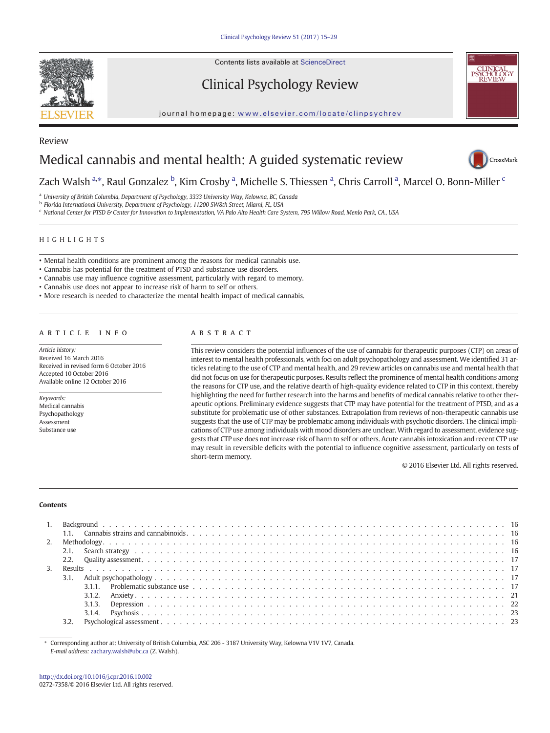Review

Contents lists available at ScienceDirect

# Clinical Psychology Review

journal homepage: <www.elsevier.com/locate/clinpsychrev>





Zach Walsh <sup>a,</sup>\*, Raul Gonzalez <sup>b</sup>, Kim Crosby <sup>a</sup>, Michelle S. Thiessen <sup>a</sup>, Chris Carroll <sup>a</sup>, Marcel O. Bonn-Miller <sup>c</sup>

<sup>a</sup> University of British Columbia, Department of Psychology, 3333 University Way, Kelowna, BC, Canada

b Florida International University, Department of Psychology, 11200 SW8th Street, Miami, FL, USA

c National Center for PTSD & Center for Innovation to Implementation, VA Palo Alto Health Care System, 795 Willow Road, Menlo Park, CA., USA

HIGHLIGHTS

- Mental health conditions are prominent among the reasons for medical cannabis use.
- Cannabis has potential for the treatment of PTSD and substance use disorders.
- Cannabis use may influence cognitive assessment, particularly with regard to memory.
- Cannabis use does not appear to increase risk of harm to self or others.
- More research is needed to characterize the mental health impact of medical cannabis.

# article info abstract

Article history: Received 16 March 2016 Received in revised form 6 October 2016 Accepted 10 October 2016 Available online 12 October 2016

Keywords: Medical cannabis Psychopathology Assessment Substance use

This review considers the potential influences of the use of cannabis for therapeutic purposes (CTP) on areas of interest to mental health professionals, with foci on adult psychopathology and assessment. We identified 31 articles relating to the use of CTP and mental health, and 29 review articles on cannabis use and mental health that did not focus on use for therapeutic purposes. Results reflect the prominence of mental health conditions among the reasons for CTP use, and the relative dearth of high-quality evidence related to CTP in this context, thereby highlighting the need for further research into the harms and benefits of medical cannabis relative to other therapeutic options. Preliminary evidence suggests that CTP may have potential for the treatment of PTSD, and as a substitute for problematic use of other substances. Extrapolation from reviews of non-therapeutic cannabis use suggests that the use of CTP may be problematic among individuals with psychotic disorders. The clinical implications of CTP use among individuals with mood disorders are unclear. With regard to assessment, evidence suggests that CTP use does not increase risk of harm to self or others. Acute cannabis intoxication and recent CTP use may result in reversible deficits with the potential to influence cognitive assessment, particularly on tests of short-term memory.

© 2016 Elsevier Ltd. All rights reserved.

#### **Contents**

⁎ Corresponding author at: University of British Columbia, ASC 206 - 3187 University Way, Kelowna V1V 1V7, Canada. E-mail address: [zachary.walsh@ubc.ca](mailto:zachary.walsh@ubc.ca) (Z. Walsh).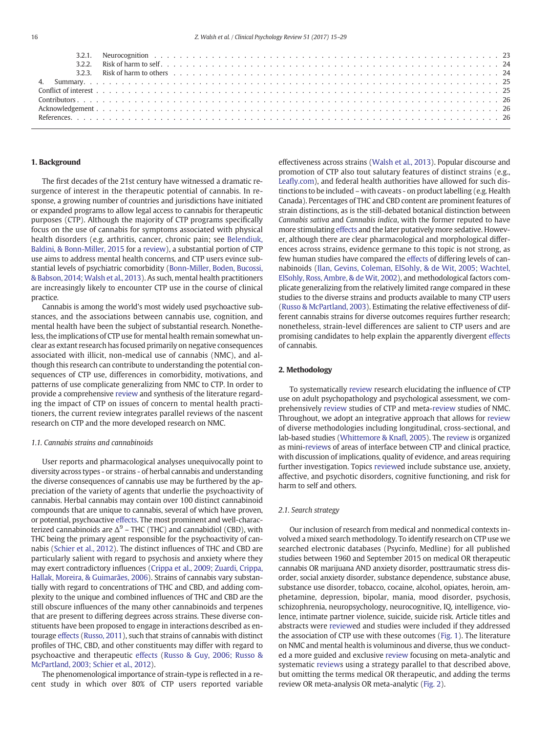|  | ,我们也不会有什么?""我们的人,我们也不会有什么?""我们的人,我们也不会有什么?""我们的人,我们也不会有什么?""我们的人,我们也不会有什么?""我们的人 |  |  |  |
|--|----------------------------------------------------------------------------------|--|--|--|

# 1. Background

The first decades of the 21st century have witnessed a dramatic resurgence of interest in the therapeutic potential of cannabis. In response, a growing number of countries and jurisdictions have initiated or expanded programs to allow legal access to cannabis for therapeutic purposes (CTP). Although the majority of CTP programs specifically focus on the use of cannabis for symptoms associated with physical health disorders (e.g. arthritis, cancer, chronic pain; see [Belendiuk,](#page-11-0) [Baldini, & Bonn-Miller, 2015](#page-11-0) for a [review](cran:review)), a substantial portion of CTP use aims to address mental health concerns, and CTP users evince substantial levels of psychiatric comorbidity [\(Bonn-Miller, Boden, Bucossi,](#page-11-0) [& Babson, 2014; Walsh et al., 2013\)](#page-11-0). As such, mental health practitioners are increasingly likely to encounter CTP use in the course of clinical practice.

Cannabis is among the world's most widely used psychoactive substances, and the associations between cannabis use, cognition, and mental health have been the subject of substantial research. Nonetheless, the implications of CTP use for mental health remain somewhat unclear as extant research has focused primarily on negative consequences associated with illicit, non-medical use of cannabis (NMC), and although this research can contribute to understanding the potential consequences of CTP use, differences in comorbidity, motivations, and patterns of use complicate generalizing from NMC to CTP. In order to provide a comprehensive [review](cran:review) and synthesis of the literature regarding the impact of CTP on issues of concern to mental health practitioners, the current review integrates parallel reviews of the nascent research on CTP and the more developed research on NMC.

# 1.1. Cannabis strains and cannabinoids

User reports and pharmacological analyses unequivocally point to diversity across types - or strains - of herbal cannabis and understanding the diverse consequences of cannabis use may be furthered by the appreciation of the variety of agents that underlie the psychoactivity of cannabis. Herbal cannabis may contain over 100 distinct cannabinoid compounds that are unique to cannabis, several of which have proven, or potential, psychoactive [effects](cran:effects). The most prominent and well-characterized cannabinoids are  $\Delta^9$  – THC (THC) and cannabidiol (CBD), with THC being the primary agent responsible for the psychoactivity of cannabis ([Schier et al., 2012\)](#page-14-0). The distinct influences of THC and CBD are particularly salient with regard to psychosis and anxiety where they may exert contradictory influences ([Crippa et al., 2009; Zuardi, Crippa,](#page-12-0) [Hallak, Moreira, & Guimarães, 2006](#page-12-0)). Strains of cannabis vary substantially with regard to concentrations of THC and CBD, and adding complexity to the unique and combined influences of THC and CBD are the still obscure influences of the many other cannabinoids and terpenes that are present to differing degrees across strains. These diverse constituents have been proposed to engage in interactions described as entourage [effects](cran:effects) ([Russo, 2011](#page-13-0)), such that strains of cannabis with distinct profiles of THC, CBD, and other constituents may differ with regard to psychoactive and therapeutic [effects](cran:effects) ([Russo & Guy, 2006; Russo &](#page-13-0) [McPartland, 2003; Schier et al., 2012](#page-13-0)).

The phenomenological importance of strain-type is reflected in a recent study in which over 80% of CTP users reported variable effectiveness across strains [\(Walsh et al., 2013\)](#page-14-0). Popular discourse and promotion of CTP also tout salutary features of distinct strains (e.g., Leafl[y.com](http://Leafly.com)), and federal health authorities have allowed for such distinctions to be included – with caveats - on product labelling (e.g. Health Canada). Percentages of THC and CBD content are prominent features of strain distinctions, as is the still-debated botanical distinction between Cannabis sativa and Cannabis indica, with the former reputed to have more stimulating [effects](cran:effects) and the later putatively more sedative. However, although there are clear pharmacological and morphological differences across strains, evidence germane to this topic is not strong, as few human studies have compared the [effects](cran:effects) of differing levels of cannabinoids ([Ilan, Gevins, Coleman, ElSohly, & de Wit, 2005; Wachtel,](#page-12-0) [ElSohly, Ross, Ambre, & de Wit, 2002](#page-12-0)), and methodological factors complicate generalizing from the relatively limited range compared in these studies to the diverse strains and products available to many CTP users [\(Russo & McPartland, 2003](#page-13-0)). Estimating the relative effectiveness of different cannabis strains for diverse outcomes requires further research; nonetheless, strain-level differences are salient to CTP users and are promising candidates to help explain the apparently divergent [effects](cran:effects) of cannabis.

# 2. Methodology

To systematically [review](cran:review) research elucidating the influence of CTP use on adult psychopathology and psychological assessment, we comprehensively [review](cran:review) studies of CTP and meta-[review](cran:review) studies of NMC. Throughout, we adopt an integrative approach that allows for [review](cran:review) of diverse methodologies including longitudinal, cross-sectional, and lab-based studies ([Whittemore & Kna](#page-14-0)fl, 2005). The [review](cran:review) is organized as mini-[reviews](cran:review) of areas of interface between CTP and clinical practice, with discussion of implications, quality of evidence, and areas requiring further investigation. Topics [review](cran:review)ed include substance use, anxiety, affective, and psychotic disorders, cognitive functioning, and risk for harm to self and others.

# 2.1. Search strategy

Our inclusion of research from medical and nonmedical contexts involved a mixed search methodology. To identify research on CTP use we searched electronic databases (Psycinfo, Medline) for all published studies between 1960 and September 2015 on medical OR therapeutic cannabis OR marijuana AND anxiety disorder, posttraumatic stress disorder, social anxiety disorder, substance dependence, substance abuse, substance use disorder, tobacco, cocaine, alcohol, opiates, heroin, amphetamine, depression, bipolar, mania, mood disorder, psychosis, schizophrenia, neuropsychology, neurocognitive, IQ, intelligence, violence, intimate partner violence, suicide, suicide risk. Article titles and abstracts were [reviewe](cran:review)d and studies were included if they addressed the association of CTP use with these outcomes [\(Fig. 1](#page-2-0)). The literature on NMC and mental health is voluminous and diverse, thus we conducted a more guided and exclusive [review](cran:review) focusing on meta-analytic and systematic [review](cran:review)s using a strategy parallel to that described above, but omitting the terms medical OR therapeutic, and adding the terms review OR meta-analysis OR meta-analytic ([Fig. 2](#page-2-0)).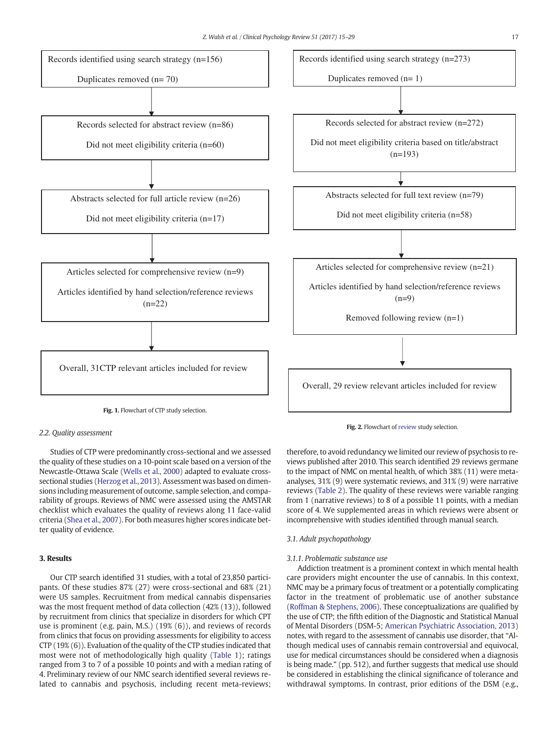<span id="page-2-0"></span>

# 2.2. Quality assessment

Studies of CTP were predominantly cross-sectional and we assessed the quality of these studies on a 10-point scale based on a version of the Newcastle-Ottawa Scale ([Wells et al., 2000\)](#page-14-0) adapted to evaluate crosssectional studies [\(Herzog et al., 2013\)](#page-12-0). Assessment was based on dimensions including measurement of outcome, sample selection, and comparability of groups. Reviews of NMC were assessed using the AMSTAR checklist which evaluates the quality of reviews along 11 face-valid criteria ([Shea et al., 2007](#page-14-0)). For both measures higher scores indicate better quality of evidence.

# 3. Results

Our CTP search identified 31 studies, with a total of 23,850 participants. Of these studies 87% (27) were cross-sectional and 68% (21) were US samples. Recruitment from medical cannabis dispensaries was the most frequent method of data collection (42% (13)), followed by recruitment from clinics that specialize in disorders for which CPT use is prominent (e.g. pain, M.S.) (19% (6)), and reviews of records from clinics that focus on providing assessments for eligibility to access CTP (19% (6)). Evaluation of the quality of the CTP studies indicated that most were not of methodologically high quality ([Table 1\)](#page-3-0); ratings ranged from 3 to 7 of a possible 10 points and with a median rating of 4. Preliminary review of our NMC search identified several reviews related to cannabis and psychosis, including recent meta-reviews;

Fig. 2. Flowchart of [review](cran:review) study selection.

therefore, to avoid redundancy we limited our review of psychosis to reviews published after 2010. This search identified 29 reviews germane to the impact of NMC on mental health, of which 38% (11) were metaanalyses, 31% (9) were systematic reviews, and 31% (9) were narrative reviews ([Table 2\)](#page-5-0). The quality of these reviews were variable ranging from 1 (narrative reviews) to 8 of a possible 11 points, with a median score of 4. We supplemented areas in which reviews were absent or incomprehensive with studies identified through manual search.

# 3.1. Adult psychopathology

#### 3.1.1. Problematic substance use

Addiction treatment is a prominent context in which mental health care providers might encounter the use of cannabis. In this context, NMC may be a primary focus of treatment or a potentially complicating factor in the treatment of problematic use of another substance [\(Roffman & Stephens, 2006\)](#page-13-0). These conceptualizations are qualified by the use of CTP; the fifth edition of the Diagnostic and Statistical Manual of Mental Disorders (DSM-5; [American Psychiatric Association, 2013](#page-11-0)) notes, with regard to the assessment of cannabis use disorder, that "Although medical uses of cannabis remain controversial and equivocal, use for medical circumstances should be considered when a diagnosis is being made." (pp. 512), and further suggests that medical use should be considered in establishing the clinical significance of tolerance and withdrawal symptoms. In contrast, prior editions of the DSM (e.g.,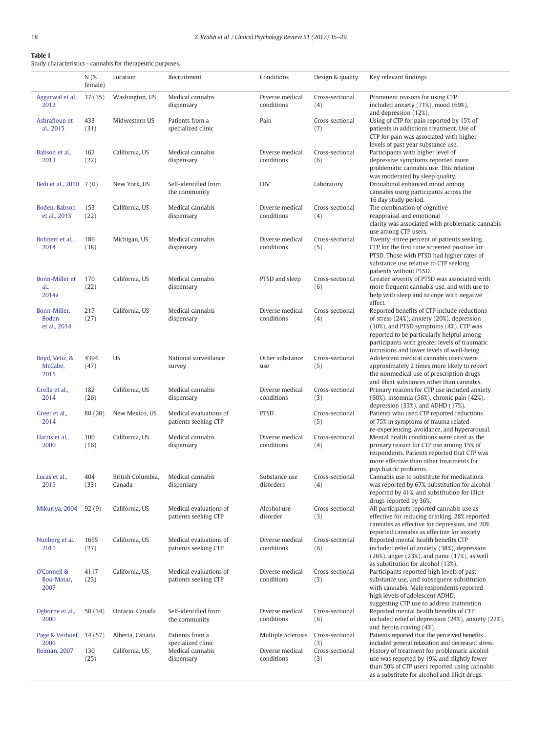# <span id="page-3-0"></span>Table 1

Study characteristics - cannabis for therapeutic purposes.

|                                              | $N($ %<br>female) | Location                    | Recruitment                                    | Conditions                    | Design & quality       | Key relevant findings                                                                                                                                                                                                                                                           |
|----------------------------------------------|-------------------|-----------------------------|------------------------------------------------|-------------------------------|------------------------|---------------------------------------------------------------------------------------------------------------------------------------------------------------------------------------------------------------------------------------------------------------------------------|
| Aggarwal et al.,<br>2012                     | 37(35)            | Washington, US              | Medical cannabis<br>dispensary                 | Diverse medical<br>conditions | Cross-sectional<br>(4) | Prominent reasons for using CTP<br>included anxiety (71%), mood (69%),<br>and depression (12%).                                                                                                                                                                                 |
| Ashrafioun et<br>al., 2015                   | 433<br>(31)       | Midwestern US               | Patients from a<br>specialized clinic          | Pain                          | Cross-sectional<br>(7) | Using of CTP for pain reported by 15% of<br>patients in addictions treatment. Use of<br>CTP for pain was associated with higher<br>levels of past year substance use.                                                                                                           |
| Babson et al.,<br>2013                       | 162<br>(22)       | California, US              | Medical cannabis<br>dispensary                 | Diverse medical<br>conditions | Cross-sectional<br>(6) | Participants with higher level of<br>depressive symptoms reported more<br>problematic cannabis use. This relation<br>was moderated by sleep quality.                                                                                                                            |
| Bedi et al., 2010 7 (0)                      |                   | New York, US                | Self-identified from<br>the community          | <b>HIV</b>                    | Laboratory             | Dronabinol enhanced mood among<br>cannabis using participants across the<br>16 day study period.                                                                                                                                                                                |
| Boden, Babson<br>et al., 2013                | 153<br>(22)       | California, US              | Medical cannabis<br>dispensary                 | Diverse medical<br>conditions | Cross-sectional<br>(4) | The combination of cognitive<br>reappraisal and emotional<br>clarity was associated with problematic cannabis<br>use among CTP users.                                                                                                                                           |
| Bohnert et al.,<br>2014                      | 186<br>(38)       | Michigan, US                | Medical cannabis<br>dispensary                 | Diverse medical<br>conditions | Cross-sectional<br>(5) | Twenty -three percent of patients seeking<br>CTP for the first time screened positive for<br>PTSD. Those with PTSD had higher rates of<br>substance use relative to CTP seeking<br>patients without PTSD.                                                                       |
| Bonn-Miller et<br>al.,<br>2014a              | 170<br>(22)       | California, US              | Medical cannabis<br>dispensary                 | PTSD and sleep                | Cross-sectional<br>(6) | Greater severity of PTSD was associated with<br>more frequent cannabis use, and with use to<br>help with sleep and to cope with negative<br>affect.                                                                                                                             |
| Bonn-Miller,<br><b>Boden</b><br>et al., 2014 | 217<br>(27)       | California, US              | Medical cannabis<br>dispensary                 | Diverse medical<br>conditions | Cross-sectional<br>(4) | Reported benefits of CTP include reductions<br>of stress (24%), anxiety (20%), depression<br>(10%), and PTSD symptoms (4%). CTP was<br>reported to be particularly helpful among<br>participants with greater levels of traumatic<br>intrusions and lower levels of well-being. |
| Boyd, Veliz, &<br>McCabe,<br>2015            | 4394<br>(47)      | <b>US</b>                   | National surveillance<br>survey                | Other substance<br>use        | Cross-sectional<br>(5) | Adolescent medical cannabis users were<br>approximately 2 times more likely to report<br>the nonmedical use of prescription drugs<br>and illicit substances other than cannabis.                                                                                                |
| Grella et al.,<br>2014                       | 182<br>(26)       | California, US              | Medical cannabis<br>dispensary                 | Diverse medical<br>conditions | Cross-sectional<br>(3) | Primary reasons for CTP use included anxiety<br>(60%), insomnia (56%), chronic pain (42%),<br>depression (33%), and ADHD (17%).                                                                                                                                                 |
| Greer et al.,<br>2014                        | 80(20)            | New Mexico, US              | Medical evaluations of<br>patients seeking CTP | <b>PTSD</b>                   | Cross-sectional<br>(5) | Patients who used CTP reported reductions<br>of 75% in symptoms of trauma related<br>re-experiencing, avoidance, and hyperarousal.                                                                                                                                              |
| Harris et al.,<br>2000                       | 100<br>(16)       | California, US              | Medical cannabis<br>dispensary                 | Diverse medical<br>conditions | Cross-sectional<br>(4) | Mental health conditions were cited as the<br>primary reason for CTP use among 15% of<br>respondents. Patients reported that CTP was<br>more effective than other treatments for<br>psychiatric problems.                                                                       |
| Lucas et al.,<br>2015                        | 404<br>(33)       | British Columbia,<br>Canada | Medical cannabis<br>dispensary                 | Substance use<br>disorders    | Cross-sectional<br>(4) | Cannabis use to substitute for medications<br>was reported by 67%, substitution for alcohol<br>reported by 41%, and substitution for illicit<br>drugs reported by 36%.                                                                                                          |
| Mikuriya, 2004                               | 92(9)             | California, US              | Medical evaluations of<br>patients seeking CTP | Alcohol use<br>disorder       | Cross-sectional<br>(3) | All participants reported cannabis use as<br>effective for reducing drinking, 28% reported<br>cannabis as effective for depression, and 20%<br>reported cannabis as effective for anxiety                                                                                       |
| Nunberg et al.,<br>2011                      | 1655<br>(27)      | California, US              | Medical evaluations of<br>patients seeking CTP | Diverse medical<br>conditions | Cross-sectional<br>(6) | Reported mental health benefits CTP<br>included relief of anxiety (38%), depression<br>$(26%)$ , anger $(23%)$ , and panic $(17%)$ , as well<br>as substitution for alcohol (13%).                                                                                              |
| O'Connell &<br>Bou-Matar,<br>2007            | 4117<br>(23)      | California, US              | Medical evaluations of<br>patients seeking CTP | Diverse medical<br>conditions | Cross-sectional<br>(3) | Participants reported high levels of past<br>substance use, and subsequent substitution<br>with cannabis. Male respondents reported<br>high levels of adolescent ADHD,<br>suggesting CTP use to address inattention.                                                            |
| Ogborne et al.,<br>2000                      | 50 (34)           | Ontario, Canada             | Self-identified from<br>the community          | Diverse medical<br>conditions | Cross-sectional<br>(6) | Reported mental health benefits of CTP<br>included relief of depression (24%), anxiety (22%),<br>and heroin craving $(4%)$ .                                                                                                                                                    |
| Page & Verhoef, 14 (57)<br>2006              |                   | Alberta, Canada             | Patients from a<br>specialized clinic          | Multiple Sclerosis            | Cross-sectional<br>(3) | Patients reported that the perceived benefits<br>included general relaxation and decreased stress.                                                                                                                                                                              |
| Reiman, 2007                                 | 130<br>(25)       | California, US              | Medical cannabis<br>dispensary                 | Diverse medical<br>conditions | Cross-sectional<br>(3) | History of treatment for problematic alcohol<br>use was reported by 19%, and slightly fewer<br>than 50% of CTP users reported using cannabis<br>as a substitute for alcohol and illicit drugs.                                                                                  |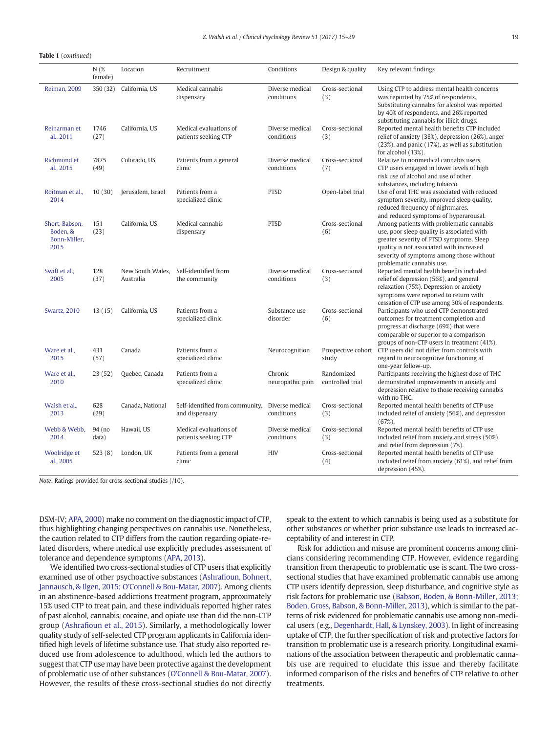# Table 1 (continued)

|                                                    | $N$ (%<br>female) | Location                      | Recruitment                                                       | Conditions                    | Design & quality               | Key relevant findings                                                                                                                                                                                                                                   |
|----------------------------------------------------|-------------------|-------------------------------|-------------------------------------------------------------------|-------------------------------|--------------------------------|---------------------------------------------------------------------------------------------------------------------------------------------------------------------------------------------------------------------------------------------------------|
| Reiman, 2009                                       | 350 (32)          | California, US                | Medical cannabis<br>dispensary                                    | Diverse medical<br>conditions | Cross-sectional<br>(3)         | Using CTP to address mental health concerns<br>was reported by 75% of respondents.<br>Substituting cannabis for alcohol was reported<br>by 40% of respondents, and 26% reported<br>substituting cannabis for illicit drugs.                             |
| Reinarman et<br>al., 2011                          | 1746<br>(27)      | California, US                | Medical evaluations of<br>patients seeking CTP                    | Diverse medical<br>conditions | Cross-sectional<br>(3)         | Reported mental health benefits CTP included<br>relief of anxiety (38%), depression (26%), anger<br>(23%), and panic (17%), as well as substitution<br>for alcohol (13%).                                                                               |
| Richmond et<br>al., 2015                           | 7875<br>(49)      | Colorado, US                  | Patients from a general<br>clinic                                 | Diverse medical<br>conditions | Cross-sectional<br>(7)         | Relative to nonmedical cannabis users,<br>CTP users engaged in lower levels of high<br>risk use of alcohol and use of other<br>substances, including tobacco.                                                                                           |
| Roitman et al.,<br>2014                            | 10(30)            | Jerusalem, Israel             | Patients from a<br>specialized clinic                             | <b>PTSD</b>                   | Open-label trial               | Use of oral THC was associated with reduced<br>symptom severity, improved sleep quality,<br>reduced frequency of nightmares,<br>and reduced symptoms of hyperarousal.                                                                                   |
| Short, Babson,<br>Boden, &<br>Bonn-Miller,<br>2015 | 151<br>(23)       | California. US                | Medical cannabis<br>dispensary                                    | <b>PTSD</b>                   | Cross-sectional<br>(6)         | Among patients with problematic cannabis<br>use, poor sleep quality is associated with<br>greater severity of PTSD symptoms. Sleep<br>quality is not associated with increased<br>severity of symptoms among those without<br>problematic cannabis use. |
| Swift et al<br>2005                                | 128<br>(37)       | New South Wales.<br>Australia | Self-identified from<br>the community                             | Diverse medical<br>conditions | Cross-sectional<br>(3)         | Reported mental health benefits included<br>relief of depression (56%), and general<br>relaxation (75%). Depression or anxiety<br>symptoms were reported to return with<br>cessation of CTP use among 30% of respondents.                               |
| <b>Swartz, 2010</b>                                | 13(15)            | California, US                | Patients from a<br>specialized clinic                             | Substance use<br>disorder     | Cross-sectional<br>(6)         | Participants who used CTP demonstrated<br>outcomes for treatment completion and<br>progress at discharge (69%) that were<br>comparable or superior to a comparison<br>groups of non-CTP users in treatment (41%).                                       |
| Ware et al.,<br>2015                               | 431<br>(57)       | Canada                        | Patients from a<br>specialized clinic                             | Neurocognition                | study                          | Prospective cohort CTP users did not differ from controls with<br>regard to neurocognitive functioning at<br>one-year follow-up.                                                                                                                        |
| Ware et al.,<br>2010                               | 23(52)            | Quebec, Canada                | Patients from a<br>specialized clinic                             | Chronic<br>neuropathic pain   | Randomized<br>controlled trial | Participants receiving the highest dose of THC<br>demonstrated improvements in anxiety and<br>depression relative to those receiving cannabis<br>with no THC.                                                                                           |
| Walsh et al.,<br>2013                              | 628<br>(29)       | Canada, National              | Self-identified from community, Diverse medical<br>and dispensary | conditions                    | Cross-sectional<br>(3)         | Reported mental health benefits of CTP use<br>included relief of anxiety (56%), and depression<br>$(67%)$ .                                                                                                                                             |
| Webb & Webb.<br>2014                               | 94 (no<br>data)   | Hawaii, US                    | Medical evaluations of<br>patients seeking CTP                    | Diverse medical<br>conditions | Cross-sectional<br>(3)         | Reported mental health benefits of CTP use<br>included relief from anxiety and stress (50%),<br>and relief from depression (7%).                                                                                                                        |
| Woolridge et<br>al., 2005                          | 523(8)            | London, UK                    | Patients from a general<br>clinic                                 | <b>HIV</b>                    | Cross-sectional<br>(4)         | Reported mental health benefits of CTP use<br>included relief from anxiety (61%), and relief from<br>depression (45%).                                                                                                                                  |

Note: Ratings provided for cross-sectional studies (/10).

DSM-IV; [APA, 2000\)](#page-11-0) make no comment on the diagnostic impact of CTP, thus highlighting changing perspectives on cannabis use. Nonetheless, the caution related to CTP differs from the caution regarding opiate-related disorders, where medical use explicitly precludes assessment of tolerance and dependence symptoms ([APA, 2013](#page-11-0)).

We identified two cross-sectional studies of CTP users that explicitly examined use of other psychoactive substances (Ashrafi[oun, Bohnert,](#page-11-0) [Jannausch, & Ilgen, 2015; O'Connell & Bou-Matar, 2007\)](#page-11-0). Among clients in an abstinence-based addictions treatment program, approximately 15% used CTP to treat pain, and these individuals reported higher rates of past alcohol, cannabis, cocaine, and opiate use than did the non-CTP group (Ashrafi[oun et al., 2015](#page-11-0)). Similarly, a methodologically lower quality study of self-selected CTP program applicants in California identified high levels of lifetime substance use. That study also reported reduced use from adolescence to adulthood, which led the authors to suggest that CTP use may have been protective against the development of problematic use of other substances ([O'Connell & Bou-Matar, 2007](#page-13-0)). However, the results of these cross-sectional studies do not directly

speak to the extent to which cannabis is being used as a substitute for other substances or whether prior substance use leads to increased acceptability of and interest in CTP.

Risk for addiction and misuse are prominent concerns among clinicians considering recommending CTP. However, evidence regarding transition from therapeutic to problematic use is scant. The two crosssectional studies that have examined problematic cannabis use among CTP users identify depression, sleep disturbance, and cognitive style as risk factors for problematic use ([Babson, Boden, & Bonn-Miller, 2013;](#page-11-0) [Boden, Gross, Babson, & Bonn-Miller, 2013](#page-11-0)), which is similar to the patterns of risk evidenced for problematic cannabis use among non-medical users (e.g., [Degenhardt, Hall, & Lynskey, 2003](#page-12-0)). In light of increasing uptake of CTP, the further specification of risk and protective factors for transition to problematic use is a research priority. Longitudinal examinations of the association between therapeutic and problematic cannabis use are required to elucidate this issue and thereby facilitate informed comparison of the risks and benefits of CTP relative to other treatments.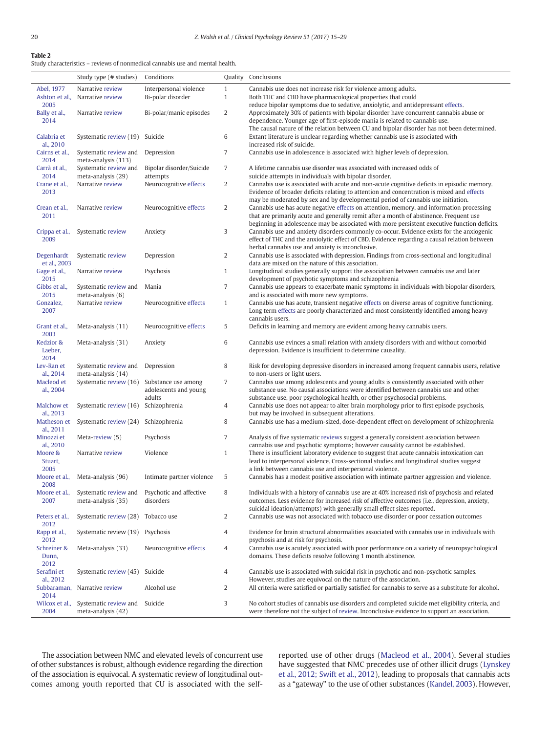# <span id="page-5-0"></span>Table 2

Study characteristics – reviews of nonmedical cannabis use and mental health.

|                            | Study type (# studies)                       | Conditions                           |                  | <b>Quality</b> Conclusions                                                                                                                                                                                 |
|----------------------------|----------------------------------------------|--------------------------------------|------------------|------------------------------------------------------------------------------------------------------------------------------------------------------------------------------------------------------------|
| Abel, 1977                 | Narrative review                             | Interpersonal violence               | $\mathbf{1}$     | Cannabis use does not increase risk for violence among adults.                                                                                                                                             |
| Ashton et al.,<br>2005     | Narrative review                             | Bi-polar disorder                    | $\mathbf{1}$     | Both THC and CBD have pharmacological properties that could<br>reduce bipolar symptoms due to sedative, anxiolytic, and antidepressant effects.                                                            |
| Bally et al.,<br>2014      | Narrative review                             | Bi-polar/manic episodes              | $\overline{2}$   | Approximately 30% of patients with bipolar disorder have concurrent cannabis abuse or<br>dependence. Younger age of first-episode mania is related to cannabis use.                                        |
| Calabria et<br>al., 2010   | Systematic review (19)                       | Suicide                              | 6                | The causal nature of the relation between CU and bipolar disorder has not been determined.<br>Extant literature is unclear regarding whether cannabis use is associated with<br>increased risk of suicide. |
| Cairns et al.,<br>2014     | Systematic review and<br>meta-analysis (113) | Depression                           | $\overline{7}$   | Cannabis use in adolescence is associated with higher levels of depression.                                                                                                                                |
| Carrà et al.,<br>2014      | Systematic review and<br>meta-analysis (29)  | Bipolar disorder/Suicide<br>attempts | $\overline{7}$   | A lifetime cannabis use disorder was associated with increased odds of<br>suicide attempts in individuals with bipolar disorder.                                                                           |
| Crane et al.,              | Narrative review                             | Neurocognitive effects               | $\boldsymbol{2}$ | Cannabis use is associated with acute and non-acute cognitive deficits in episodic memory.                                                                                                                 |
| 2013                       |                                              |                                      |                  | Evidence of broader deficits relating to attention and concentration is mixed and effects<br>may be moderated by sex and by developmental period of cannabis use initiation.                               |
| Crean et al.,              | Narrative review                             | Neurocognitive effects               | $\overline{c}$   | Cannabis use has acute negative effects on attention, memory, and information processing                                                                                                                   |
| 2011                       |                                              |                                      |                  | that are primarily acute and generally remit after a month of abstinence. Frequent use                                                                                                                     |
| Crippa et al.,             | Systematic review                            | Anxiety                              | 3                | beginning in adolescence may be associated with more persistent executive function deficits.<br>Cannabis use and anxiety disorders commonly co-occur. Evidence exists for the anxiogenic                   |
| 2009                       |                                              |                                      |                  | effect of THC and the anxiolytic effect of CBD. Evidence regarding a causal relation between                                                                                                               |
|                            |                                              |                                      |                  | herbal cannabis use and anxiety is inconclusive.                                                                                                                                                           |
| Degenhardt<br>et al., 2003 | Systematic review                            | Depression                           | $\overline{c}$   | Cannabis use is associated with depression. Findings from cross-sectional and longitudinal<br>data are mixed on the nature of this association.                                                            |
| Gage et al.,               | Narrative review                             | Psychosis                            | $\mathbf{1}$     | Longitudinal studies generally support the association between cannabis use and later                                                                                                                      |
| 2015                       |                                              |                                      |                  | development of psychotic symptoms and schizophrenia                                                                                                                                                        |
| Gibbs et al.,<br>2015      | Systematic review and<br>meta-analysis (6)   | Mania                                | $\sqrt{ }$       | Cannabis use appears to exacerbate manic symptoms in individuals with biopolar disorders,<br>and is associated with more new symptoms.                                                                     |
| Gonzalez,                  | Narrative review                             | Neurocognitive effects               | $\mathbf{1}$     | Cannabis use has acute, transient negative effects on diverse areas of cognitive functioning.                                                                                                              |
| 2007                       |                                              |                                      |                  | Long term effects are poorly characterized and most consistently identified among heavy                                                                                                                    |
| Grant et al.,              | Meta-analysis (11)                           | Neurocognitive effects               | 5                | cannabis users.<br>Deficits in learning and memory are evident among heavy cannabis users.                                                                                                                 |
| 2003                       |                                              |                                      |                  |                                                                                                                                                                                                            |
| Kedzior &<br>Laeber,       | Meta-analysis (31)                           | Anxiety                              | 6                | Cannabis use evinces a small relation with anxiety disorders with and without comorbid<br>depression. Evidence is insufficient to determine causality.                                                     |
| 2014                       |                                              |                                      |                  |                                                                                                                                                                                                            |
| Lev-Ran et                 | Systematic review and                        | Depression                           | 8                | Risk for developing depressive disorders in increased among frequent cannabis users, relative                                                                                                              |
| al., 2014<br>Macleod et    | meta-analysis (14)<br>Systematic review (16) | Substance use among                  | $\overline{7}$   | to non-users or light users.<br>Cannabis use among adolescents and young adults is consistently associated with other                                                                                      |
| al., 2004                  |                                              | adolescents and young                |                  | substance use. No causal associations were identified between cannabis use and other                                                                                                                       |
|                            |                                              | adults                               |                  | substance use, poor psychological health, or other psychosocial problems.                                                                                                                                  |
| Malchow et<br>al., 2013    | Systematic review (16)                       | Schizophrenia                        | 4                | Cannabis use does not appear to alter brain morphology prior to first episode psychosis,<br>but may be involved in subsequent alterations.                                                                 |
| Matheson et                | Systematic review (24) Schizophrenia         |                                      | 8                | Cannabis use has a medium-sized, dose-dependent effect on development of schizophrenia                                                                                                                     |
| al., 2011<br>Minozzi et    | Meta-review (5)                              | Psychosis                            | $\overline{7}$   | Analysis of five systematic reviews suggest a generally consistent association between                                                                                                                     |
| al., 2010                  |                                              |                                      |                  | cannabis use and psychotic symptoms; however causality cannot be established.                                                                                                                              |
| Moore &<br>Stuart,         | Narrative review                             | Violence                             | $\mathbf{1}$     | There is insufficient laboratory evidence to suggest that acute cannabis intoxication can<br>lead to interpersonal violence. Cross-sectional studies and longitudinal studies suggest                      |
| 2005                       |                                              |                                      |                  | a link between cannabis use and interpersonal violence.                                                                                                                                                    |
| Moore et al.,<br>2008      | Meta-analysis (96)                           | Intimate partner violence            | 5                | Cannabis has a modest positive association with intimate partner aggression and violence.                                                                                                                  |
| Moore et al.,<br>2007      | Systematic review and                        | Psychotic and affective<br>disorders | 8                | Individuals with a history of cannabis use are at 40% increased risk of psychosis and related<br>outcomes. Less evidence for increased risk of affective outcomes (i.e., depression, anxiety,              |
|                            | meta-analysis (35)                           |                                      |                  | suicidal ideation/attempts) with generally small effect sizes reported.                                                                                                                                    |
| Peters et al.,<br>2012     | Systematic review (28)                       | Tobacco use                          | 2                | Cannabis use was not associated with tobacco use disorder or poor cessation outcomes                                                                                                                       |
| Rapp et al.,               | Systematic review (19) Psychosis             |                                      | 4                | Evidence for brain structural abnormalities associated with cannabis use in individuals with                                                                                                               |
| 2012<br>Schreiner &        | Meta-analysis (33)                           | Neurocognitive effects               | $\overline{4}$   | psychosis and at risk for psychosis.<br>Cannabis use is acutely associated with poor performance on a variety of neuropsychological                                                                        |
| Dunn,                      |                                              |                                      |                  | domains. These deficits resolve following 1 month abstinence.                                                                                                                                              |
| 2012<br>Serafini et        | Systematic review (45) Suicide               |                                      | $\overline{4}$   | Cannabis use is associated with suicidal risk in psychotic and non-psychotic samples.                                                                                                                      |
| al., 2012                  |                                              |                                      |                  | However, studies are equivocal on the nature of the association.                                                                                                                                           |
| Subbaraman,                | Narrative review                             | Alcohol use                          | 2                | All criteria were satisfied or partially satisfied for cannabis to serve as a substitute for alcohol.                                                                                                      |
| 2014<br>Wilcox et al.,     | Systematic review and                        | Suicide                              | 3                | No cohort studies of cannabis use disorders and completed suicide met eligibility criteria, and                                                                                                            |
| 2004                       | meta-analysis (42)                           |                                      |                  | were therefore not the subject of review. Inconclusive evidence to support an association.                                                                                                                 |

The association between NMC and elevated levels of concurrent use of other substances is robust, although evidence regarding the direction of the association is equivocal. A systematic review of longitudinal outcomes among youth reported that CU is associated with the selfreported use of other drugs [\(Macleod et al., 2004\)](#page-13-0). Several studies have suggested that NMC precedes use of other illicit drugs [\(Lynskey](#page-13-0) [et al., 2012; Swift et al., 2012\)](#page-13-0), leading to proposals that cannabis acts as a "gateway" to the use of other substances ([Kandel, 2003\)](#page-12-0). However,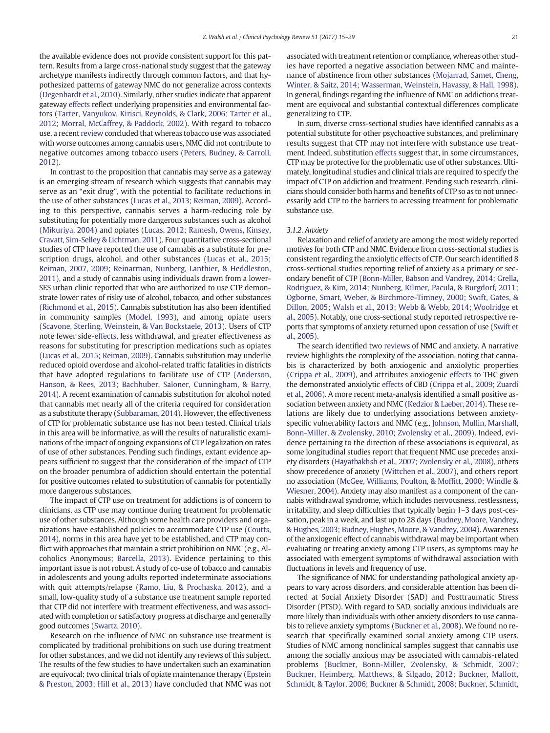the available evidence does not provide consistent support for this pattern. Results from a large cross-national study suggest that the gateway archetype manifests indirectly through common factors, and that hypothesized patterns of gateway NMC do not generalize across contexts [\(Degenhardt et al., 2010\)](#page-12-0). Similarly, other studies indicate that apparent gateway [effects](cran:effects) reflect underlying propensities and environmental factors ([Tarter, Vanyukov, Kirisci, Reynolds, & Clark, 2006; Tarter et al.,](#page-14-0) [2012; Morral, McCaffrey, & Paddock, 2002\)](#page-14-0). With regard to tobacco use, a recent [review](cran:review) concluded that whereas tobacco use was associated with worse outcomes among cannabis users, NMC did not contribute to negative outcomes among tobacco users [\(Peters, Budney, & Carroll,](#page-13-0) [2012](#page-13-0)).

In contrast to the proposition that cannabis may serve as a gateway is an emerging stream of research which suggests that cannabis may serve as an "exit drug", with the potential to facilitate reductions in the use of other substances ([Lucas et al., 2013; Reiman, 2009\)](#page-13-0). According to this perspective, cannabis serves a harm-reducing role by substituting for potentially more dangerous substances such as alcohol [\(Mikuriya, 2004](#page-13-0)) and opiates ([Lucas, 2012; Ramesh, Owens, Kinsey,](#page-13-0) [Cravatt, Sim-Selley & Lichtman, 2011\)](#page-13-0). Four quantitative cross-sectional studies of CTP have reported the use of cannabis as a substitute for prescription drugs, alcohol, and other substances [\(Lucas et al., 2015;](#page-13-0) [Reiman, 2007, 2009; Reinarman, Nunberg, Lanthier, & Heddleston,](#page-13-0) [2011\)](#page-13-0), and a study of cannabis using individuals drawn from a lower-SES urban clinic reported that who are authorized to use CTP demonstrate lower rates of risky use of alcohol, tobacco, and other substances [\(Richmond et al., 2015](#page-13-0)). Cannabis substitution has also been identified in community samples ([Model, 1993](#page-13-0)), and among opiate users [\(Scavone, Sterling, Weinstein, & Van Bockstaele, 2013](#page-14-0)). Users of CTP note fewer side[-effects](cran:effects), less withdrawal, and greater effectiveness as reasons for substituting for prescription medications such as opiates [\(Lucas et al., 2015; Reiman, 2009\)](#page-13-0). Cannabis substitution may underlie reduced opioid overdose and alcohol-related traffic fatalities in districts that have adopted regulations to facilitate use of CTP [\(Anderson,](#page-11-0) [Hanson, & Rees, 2013; Bachhuber, Saloner, Cunningham, & Barry,](#page-11-0) [2014](#page-11-0)). A recent examination of cannabis substitution for alcohol noted that cannabis met nearly all of the criteria required for consideration as a substitute therapy ([Subbaraman, 2014](#page-14-0)). However, the effectiveness of CTP for problematic substance use has not been tested. Clinical trials in this area will be informative, as will the results of naturalistic examinations of the impact of ongoing expansions of CTP legalization on rates of use of other substances. Pending such findings, extant evidence appears sufficient to suggest that the consideration of the impact of CTP on the broader penumbra of addiction should entertain the potential for positive outcomes related to substitution of cannabis for potentially more dangerous substances.

The impact of CTP use on treatment for addictions is of concern to clinicians, as CTP use may continue during treatment for problematic use of other substances. Although some health care providers and organizations have established policies to accommodate CTP use [\(Coutts,](#page-12-0) [2014](#page-12-0)), norms in this area have yet to be established, and CTP may conflict with approaches that maintain a strict prohibition on NMC (e.g., Alcoholics Anonymous; [Barcella, 2013](#page-11-0)). Evidence pertaining to this important issue is not robust. A study of co-use of tobacco and cannabis in adolescents and young adults reported indeterminate associations with quit attempts/relapse ([Ramo, Liu, & Prochaska, 2012](#page-13-0)), and a small, low-quality study of a substance use treatment sample reported that CTP did not interfere with treatment effectiveness, and was associated with completion or satisfactory progress at discharge and generally good outcomes [\(Swartz, 2010](#page-14-0)).

Research on the influence of NMC on substance use treatment is complicated by traditional prohibitions on such use during treatment for other substances, and we did not identify any reviews of this subject. The results of the few studies to have undertaken such an examination are equivocal; two clinical trials of opiate maintenance therapy [\(Epstein](#page-12-0) [& Preston, 2003; Hill et al., 2013](#page-12-0)) have concluded that NMC was not associated with treatment retention or compliance, whereas other studies have reported a negative association between NMC and maintenance of abstinence from other substances [\(Mojarrad, Samet, Cheng,](#page-13-0) [Winter, & Saitz, 2014; Wasserman, Weinstein, Havassy, & Hall, 1998](#page-13-0)). In general, findings regarding the influence of NMC on addictions treatment are equivocal and substantial contextual differences complicate generalizing to CTP.

In sum, diverse cross-sectional studies have identified cannabis as a potential substitute for other psychoactive substances, and preliminary results suggest that CTP may not interfere with substance use treatment. Indeed, substitution [effects](cran:effects) suggest that, in some circumstances, CTP may be protective for the problematic use of other substances. Ultimately, longitudinal studies and clinical trials are required to specify the impact of CTP on addiction and treatment. Pending such research, clinicians should consider both harms and benefits of CTP so as to not unnecessarily add CTP to the barriers to accessing treatment for problematic substance use.

# 3.1.2. Anxiety

Relaxation and relief of anxiety are among the most widely reported motives for both CTP and NMC. Evidence from cross-sectional studies is consistent regarding the anxiolytic [effects](cran:effects) of CTP. Our search identified 8 cross-sectional studies reporting relief of anxiety as a primary or secondary benefit of CTP ([Bonn-Miller, Babson and Vandrey, 2014; Grella,](#page-11-0) [Rodriguez, & Kim, 2014; Nunberg, Kilmer, Pacula, & Burgdorf, 2011;](#page-11-0) [Ogborne, Smart, Weber, & Birchmore-Timney, 2000; Swift, Gates, &](#page-11-0) [Dillon, 2005; Walsh et al., 2013; Webb & Webb, 2014; Woolridge et](#page-11-0) [al., 2005\)](#page-11-0). Notably, one cross-sectional study reported retrospective reports that symptoms of anxiety returned upon cessation of use ([Swift et](#page-14-0) [al., 2005](#page-14-0)).

The search identified two [reviews](cran:review) of NMC and anxiety. A narrative review highlights the complexity of the association, noting that cannabis is characterized by both anxiogenic and anxiolytic properties [\(Crippa et al., 2009\)](#page-12-0), and attributes anxiogenic [effects](cran:effects) to THC given the demonstrated anxiolytic [effects](cran:effects) of CBD ([Crippa et al., 2009; Zuardi](#page-12-0) [et al., 2006\)](#page-12-0). A more recent meta-analysis identified a small positive association between anxiety and NMC ([Kedzior & Laeber, 2014](#page-12-0)). These relations are likely due to underlying associations between anxietyspecific vulnerability factors and NMC (e.g., [Johnson, Mullin, Marshall,](#page-12-0) [Bonn-Miller, & Zvolensky, 2010; Zvolensky et al., 2009\)](#page-12-0). Indeed, evidence pertaining to the direction of these associations is equivocal, as some longitudinal studies report that frequent NMC use precedes anxiety disorders [\(Hayatbakhsh et al., 2007; Zvolensky et al., 2008\)](#page-12-0), others show precedence of anxiety ([Wittchen et al., 2007](#page-14-0)), and others report no association [\(McGee, Williams, Poulton, & Mof](#page-13-0)fitt, 2000; Windle & [Wiesner, 2004\)](#page-13-0). Anxiety may also manifest as a component of the cannabis withdrawal syndrome, which includes nervousness, restlessness, irritability, and sleep difficulties that typically begin 1–3 days post-cessation, peak in a week, and last up to 28 days ([Budney, Moore, Vandrey,](#page-11-0) [& Hughes, 2003; Budney, Hughes, Moore, & Vandrey, 2004](#page-11-0)). Awareness of the anxiogenic effect of cannabis withdrawal may be important when evaluating or treating anxiety among CTP users, as symptoms may be associated with emergent symptoms of withdrawal association with fluctuations in levels and frequency of use.

The significance of NMC for understanding pathological anxiety appears to vary across disorders, and considerable attention has been directed at Social Anxiety Disorder (SAD) and Posttraumatic Stress Disorder (PTSD). With regard to SAD, socially anxious individuals are more likely than individuals with other anxiety disorders to use cannabis to relieve anxiety symptoms ([Buckner et al., 2008\)](#page-11-0). We found no research that specifically examined social anxiety among CTP users. Studies of NMC among nonclinical samples suggest that cannabis use among the socially anxious may be associated with cannabis-related problems ([Buckner, Bonn-Miller, Zvolensky, & Schmidt, 2007;](#page-11-0) [Buckner, Heimberg, Matthews, & Silgado, 2012; Buckner, Mallott,](#page-11-0) [Schmidt, & Taylor, 2006; Buckner & Schmidt, 2008; Buckner, Schmidt,](#page-11-0)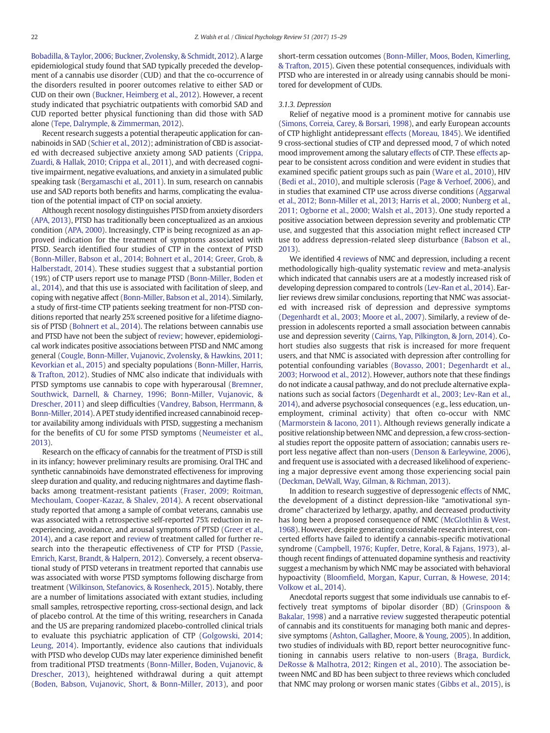[Bobadilla, & Taylor, 2006; Buckner, Zvolensky, & Schmidt, 2012\)](#page-11-0). A large epidemiological study found that SAD typically preceded the development of a cannabis use disorder (CUD) and that the co-occurrence of the disorders resulted in poorer outcomes relative to either SAD or CUD on their own [\(Buckner, Heimberg et al., 2012\)](#page-11-0). However, a recent study indicated that psychiatric outpatients with comorbid SAD and CUD reported better physical functioning than did those with SAD alone ([Tepe, Dalrymple, & Zimmerman, 2012\)](#page-14-0).

Recent research suggests a potential therapeutic application for cannabinoids in SAD ([Schier et al., 2012\)](#page-14-0); administration of CBD is associated with decreased subjective anxiety among SAD patients ([Crippa,](#page-12-0) [Zuardi, & Hallak, 2010; Crippa et al., 2011](#page-12-0)), and with decreased cognitive impairment, negative evaluations, and anxiety in a simulated public speaking task ([Bergamaschi et al., 2011](#page-11-0)). In sum, research on cannabis use and SAD reports both benefits and harms, complicating the evaluation of the potential impact of CTP on social anxiety.

Although recent nosology distinguishes PTSD from anxiety disorders [\(APA, 2013\)](#page-11-0), PTSD has traditionally been conceptualized as an anxious condition ([APA, 2000](#page-11-0)). Increasingly, CTP is being recognized as an approved indication for the treatment of symptoms associated with PTSD. Search identified four studies of CTP in the context of PTSD [\(Bonn-Miller, Babson et al., 2014; Bohnert et al., 2014; Greer, Grob, &](#page-11-0) [Halberstadt, 2014\)](#page-11-0). These studies suggest that a substantial portion (19%) of CTP users report use to manage PTSD ([Bonn-Miller, Boden et](#page-11-0) [al., 2014\)](#page-11-0), and that this use is associated with facilitation of sleep, and coping with negative affect ([Bonn-Miller, Babson et al., 2014\)](#page-11-0). Similarly, a study of first-time CTP patients seeking treatment for non-PTSD conditions reported that nearly 25% screened positive for a lifetime diagnosis of PTSD ([Bohnert et al., 2014\)](#page-11-0). The relations between cannabis use and PTSD have not been the subject of [review;](cran:review) however, epidemiological work indicates positive associations between PTSD and NMC among general [\(Cougle, Bonn-Miller, Vujanovic, Zvolensky, & Hawkins, 2011;](#page-12-0) [Kevorkian et al., 2015](#page-12-0)) and specialty populations [\(Bonn-Miller, Harris,](#page-11-0) [& Trafton, 2012](#page-11-0)). Studies of NMC also indicate that individuals with PTSD symptoms use cannabis to cope with hyperarousal ([Bremner,](#page-11-0) [Southwick, Darnell, & Charney, 1996; Bonn-Miller, Vujanovic, &](#page-11-0) [Drescher, 2011](#page-11-0)) and sleep difficulties ([Vandrey, Babson, Herrmann, &](#page-14-0) [Bonn-Miller, 2014](#page-14-0)). A PET study identified increased cannabinoid receptor availability among individuals with PTSD, suggesting a mechanism for the benefits of CU for some PTSD symptoms [\(Neumeister et al.,](#page-13-0) [2013\)](#page-13-0).

Research on the efficacy of cannabis for the treatment of PTSD is still in its infancy; however preliminary results are promising. Oral THC and synthetic cannabinoids have demonstrated effectiveness for improving sleep duration and quality, and reducing nightmares and daytime flashbacks among treatment-resistant patients [\(Fraser, 2009; Roitman,](#page-12-0) [Mechoulam, Cooper-Kazaz, & Shalev, 2014\)](#page-12-0). A recent observational study reported that among a sample of combat veterans, cannabis use was associated with a retrospective self-reported 75% reduction in reexperiencing, avoidance, and arousal symptoms of PTSD [\(Greer](#page-12-0) et al., [2014\)](#page-12-0), and a case report and [review](cran:review) of treatment called for further research into the therapeutic effectiveness of CTP for PTSD ([Passie,](#page-13-0) [Emrich, Karst, Brandt, & Halpern, 2012](#page-13-0)). Conversely, a recent observational study of PTSD veterans in treatment reported that cannabis use was associated with worse PTSD symptoms following discharge from treatment [\(Wilkinson, Stefanovics, & Rosenheck, 2015\)](#page-14-0). Notably, there are a number of limitations associated with extant studies, including small samples, retrospective reporting, cross-sectional design, and lack of placebo control. At the time of this writing, researchers in Canada and the US are preparing randomized placebo-controlled clinical trials to evaluate this psychiatric application of CTP [\(Golgowski, 2014;](#page-12-0) [Leung, 2014\)](#page-12-0). Importantly, evidence also cautions that individuals with PTSD who develop CUDs may later experience diminished benefit from traditional PTSD treatments ([Bonn-Miller, Boden, Vujanovic, &](#page-11-0) [Drescher, 2013](#page-11-0)), heightened withdrawal during a quit attempt [\(Boden, Babson, Vujanovic, Short, & Bonn-Miller, 2013\)](#page-11-0), and poor short-term cessation outcomes ([Bonn-Miller, Moos, Boden, Kimerling,](#page-11-0) [& Trafton, 2015\)](#page-11-0). Given these potential consequences, individuals with PTSD who are interested in or already using cannabis should be monitored for development of CUDs.

# 3.1.3. Depression

Relief of negative mood is a prominent motive for cannabis use [\(Simons, Correia, Carey, & Borsari, 1998\)](#page-14-0), and early European accounts of CTP highlight antidepressant [effects](cran:effects) [\(Moreau, 1845](#page-13-0)). We identified 9 cross-sectional studies of CTP and depressed mood, 7 of which noted mood improvement among the salutary [effects](cran:effects) of CTP. These [effects](cran:effects) appear to be consistent across condition and were evident in studies that examined specific patient groups such as pain ([Ware et al., 2010](#page-14-0)), HIV [\(Bedi et al., 2010\)](#page-11-0), and multiple sclerosis ([Page & Verhoef, 2006\)](#page-13-0), and in studies that examined CTP use across diverse conditions ([Aggarwal](#page-11-0) [et al., 2012; Bonn-Miller et al., 2013; Harris et al., 2000; Nunberg et al.,](#page-11-0) [2011; Ogborne et al., 2000; Walsh et al., 2013](#page-11-0)). One study reported a positive association between depression severity and problematic CTP use, and suggested that this association might reflect increased CTP use to address depression-related sleep disturbance ([Babson et al.,](#page-11-0) [2013\)](#page-11-0).

We identified 4 [reviews](cran:review) of NMC and depression, including a recent methodologically high-quality systematic [review](cran:review) and meta-analysis which indicated that cannabis users are at a modestly increased risk of developing depression compared to controls [\(Lev-Ran et al., 2014](#page-13-0)). Earlier reviews drew similar conclusions, reporting that NMC was associated with increased risk of depression and depressive symptoms [\(Degenhardt et al., 2003; Moore et al., 2007\)](#page-12-0). Similarly, a review of depression in adolescents reported a small association between cannabis use and depression severity [\(Cairns, Yap, Pilkington, & Jorn, 2014](#page-11-0)). Cohort studies also suggests that risk is increased for more frequent users, and that NMC is associated with depression after controlling for potential confounding variables [\(Bovasso, 2001; Degenhardt et al.,](#page-11-0) [2003; Horwood et al., 2012](#page-11-0)). However, authors note that these findings do not indicate a causal pathway, and do not preclude alternative explanations such as social factors [\(Degenhardt et al., 2003; Lev-Ran et al.,](#page-12-0) [2014\)](#page-12-0), and adverse psychosocial consequences (e.g., less education, unemployment, criminal activity) that often co-occur with NMC [\(Marmorstein & Iacono, 2011](#page-13-0)). Although reviews generally indicate a positive relationship between NMC and depression, a few cross-sectional studies report the opposite pattern of association; cannabis users report less negative affect than non-users ([Denson & Earleywine, 2006\)](#page-12-0), and frequent use is associated with a decreased likelihood of experiencing a major depressive event among those experiencing social pain [\(Deckman, DeWall, Way, Gilman, & Richman, 2013\)](#page-12-0).

In addition to research suggestive of depressogenic [effects](cran:effects) of NMC, the development of a distinct depression-like "amotivational syndrome" characterized by lethargy, apathy, and decreased productivity has long been a proposed consequence of NMC ([McGlothlin & West,](#page-13-0) [1968\)](#page-13-0). However, despite generating considerable research interest, concerted efforts have failed to identify a cannabis-specific motivational syndrome [\(Campbell, 1976; Kupfer, Detre, Koral, & Fajans, 1973](#page-12-0)), although recent findings of attenuated dopamine synthesis and reactivity suggest a mechanism by which NMC may be associated with behavioral hypoactivity (Bloomfi[eld, Morgan, Kapur, Curran, & Howese, 2014;](#page-11-0) [Volkow et al., 2014](#page-11-0)).

Anecdotal reports suggest that some individuals use cannabis to effectively treat symptoms of bipolar disorder (BD) ([Grinspoon &](#page-12-0) [Bakalar, 1998](#page-12-0)) and a narrative [review](cran:review) suggested therapeutic potential of cannabis and its constituents for managing both manic and depressive symptoms [\(Ashton, Gallagher, Moore, & Young, 2005](#page-11-0)). In addition, two studies of individuals with BD, report better neurocognitive functioning in cannabis users relative to non-users [\(Braga, Burdick,](#page-11-0) [DeRosse & Malhotra, 2012; Ringen et al., 2010\)](#page-11-0). The association between NMC and BD has been subject to three reviews which concluded that NMC may prolong or worsen manic states [\(Gibbs et al., 2015](#page-12-0)), is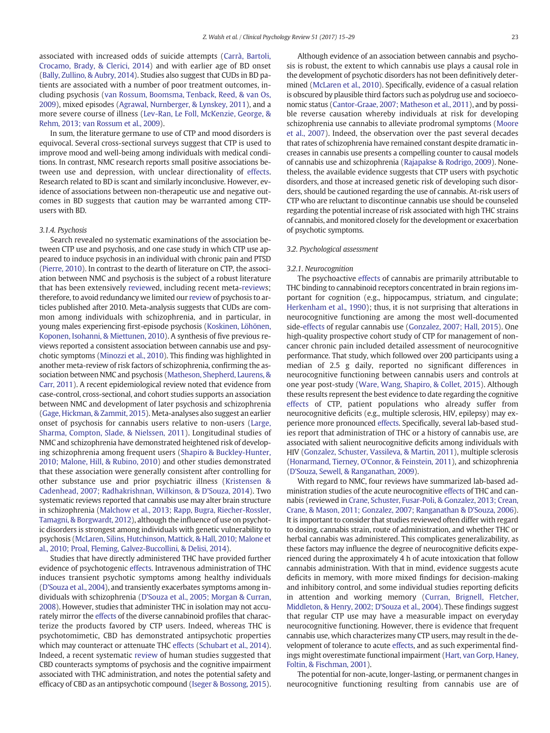associated with increased odds of suicide attempts ([Carrà, Bartoli,](#page-12-0) [Crocamo, Brady, & Clerici, 2014](#page-12-0)) and with earlier age of BD onset [\(Bally, Zullino, & Aubry, 2014](#page-11-0)). Studies also suggest that CUDs in BD patients are associated with a number of poor treatment outcomes, including psychosis [\(van Rossum, Boomsma, Tenback, Reed, & van Os,](#page-14-0) [2009](#page-14-0)), mixed episodes [\(Agrawal, Nurnberger, & Lynskey, 2011\)](#page-11-0), and a more severe course of illness ([Lev-Ran, Le Foll, McKenzie, George, &](#page-13-0) [Rehm, 2013; van Rossum et al., 2009](#page-13-0)).

In sum, the literature germane to use of CTP and mood disorders is equivocal. Several cross-sectional surveys suggest that CTP is used to improve mood and well-being among individuals with medical conditions. In contrast, NMC research reports small positive associations between use and depression, with unclear directionality of [effects.](cran:effects) Research related to BD is scant and similarly inconclusive. However, evidence of associations between non-therapeutic use and negative outcomes in BD suggests that caution may be warranted among CTPusers with BD.

# 3.1.4. Psychosis

Search revealed no systematic examinations of the association between CTP use and psychosis, and one case study in which CTP use appeared to induce psychosis in an individual with chronic pain and PTSD [\(Pierre, 2010](#page-13-0)). In contrast to the dearth of literature on CTP, the association between NMC and psychosis is the subject of a robust literature that has been extensively [review](cran:review)ed, including recent meta-[review](cran:review)s; therefore, to avoid redundancy we limited our [review](cran:review) of psychosis to articles published after 2010. Meta-analysis suggests that CUDs are common among individuals with schizophrenia, and in particular, in young males experiencing first-episode psychosis [\(Koskinen, Löhönen,](#page-12-0) [Koponen, Isohanni, & Miettunen, 2010](#page-12-0)). A synthesis of five previous reviews reported a consistent association between cannabis use and psychotic symptoms [\(Minozzi et al., 2010](#page-13-0)). This finding was highlighted in another meta-review of risk factors of schizophrenia, confirming the association between NMC and psychosis [\(Matheson, Shepherd, Laurens, &](#page-13-0) [Carr, 2011](#page-13-0)). A recent epidemiological review noted that evidence from case-control, cross-sectional, and cohort studies supports an association between NMC and development of later psychosis and schizophrenia [\(Gage, Hickman, & Zammit, 2015\)](#page-12-0). Meta-analyses also suggest an earlier onset of psychosis for cannabis users relative to non-users ([Large,](#page-13-0) [Sharma, Compton, Slade, & Nielssen, 2011](#page-13-0)). Longitudinal studies of NMC and schizophrenia have demonstrated heightened risk of developing schizophrenia among frequent users ([Shapiro & Buckley-Hunter,](#page-14-0) [2010; Malone, Hill, & Rubino, 2010\)](#page-14-0) and other studies demonstrated that these association were generally consistent after controlling for other substance use and prior psychiatric illness [\(Kristensen &](#page-12-0) [Cadenhead, 2007; Radhakrishnan, Wilkinson, & D'Souza, 2014](#page-12-0)). Two systematic reviews reported that cannabis use may alter brain structure in schizophrenia [\(Malchow et al., 2013; Rapp, Bugra, Riecher-Rossler,](#page-13-0) [Tamagni, & Borgwardt, 2012](#page-13-0)), although the influence of use on psychotic disorders is strongest among individuals with genetic vulnerability to psychosis [\(McLaren, Silins, Hutchinson, Mattick, & Hall, 2010; Malone et](#page-13-0) [al., 2010; Proal, Fleming, Galvez-Buccollini, & Delisi, 2014](#page-13-0)).

Studies that have directly administered THC have provided further evidence of psychotogenic [effects](cran:effects). Intravenous administration of THC induces transient psychotic symptoms among healthy individuals [\(D'Souza et al., 2004](#page-12-0)), and transiently exacerbates symptoms among individuals with schizophrenia [\(D'Souza et al., 2005; Morgan & Curran,](#page-12-0) [2008](#page-12-0)). However, studies that administer THC in isolation may not accurately mirror the [effects](cran:effects) of the diverse cannabinoid profiles that characterize the products favored by CTP users. Indeed, whereas THC is psychotomimetic, CBD has demonstrated antipsychotic properties which may counteract or attenuate THC [effects](cran:effects) ([Schubart et al., 2014](#page-14-0)). Indeed, a recent systematic [review](cran:review) of human studies suggested that CBD counteracts symptoms of psychosis and the cognitive impairment associated with THC administration, and notes the potential safety and efficacy of CBD as an antipsychotic compound [\(Iseger & Bossong, 2015](#page-12-0)).

Although evidence of an association between cannabis and psychosis is robust, the extent to which cannabis use plays a causal role in the development of psychotic disorders has not been definitively determined [\(McLaren et al., 2010](#page-13-0)). Specifically, evidence of a casual relation is obscured by plausible third factors such as polydrug use and socioeconomic status [\(Cantor-Graae, 2007; Matheson et al., 2011](#page-12-0)), and by possible reverse causation whereby individuals at risk for developing schizophrenia use cannabis to alleviate prodromal symptoms ([Moore](#page-13-0) [et al., 2007\)](#page-13-0). Indeed, the observation over the past several decades that rates of schizophrenia have remained constant despite dramatic increases in cannabis use presents a compelling counter to causal models of cannabis use and schizophrenia ([Rajapakse & Rodrigo, 2009](#page-13-0)). Nonetheless, the available evidence suggests that CTP users with psychotic disorders, and those at increased genetic risk of developing such disorders, should be cautioned regarding the use of cannabis. At-risk users of CTP who are reluctant to discontinue cannabis use should be counseled regarding the potential increase of risk associated with high THC strains of cannabis, and monitored closely for the development or exacerbation of psychotic symptoms.

## 3.2. Psychological assessment

### 3.2.1. Neurocognition

The psychoactive [effects](cran:effects) of cannabis are primarily attributable to THC binding to cannabinoid receptors concentrated in brain regions important for cognition (e.g., hippocampus, striatum, and cingulate; [Herkenham et al., 1990\)](#page-12-0); thus, it is not surprising that alterations in neurocognitive functioning are among the most well-documented side[-effects](cran:effects) of regular cannabis use ([Gonzalez, 2007; Hall, 2015\)](#page-12-0). One high-quality prospective cohort study of CTP for management of noncancer chronic pain included detailed assessment of neurocognitive performance. That study, which followed over 200 participants using a median of 2.5 g daily, reported no significant differences in neurocognitive functioning between cannabis users and controls at one year post-study ([Ware, Wang, Shapiro, & Collet, 2015](#page-14-0)). Although these results represent the best evidence to date regarding the cognitive [effects](cran:effects) of CTP, patient populations who already suffer from neurocognitive deficits (e.g., multiple sclerosis, HIV, epilepsy) may experience more pronounced [effects.](cran:effects) Specifically, several lab-based studies report that administration of THC or a history of cannabis use, are associated with salient neurocognitive deficits among individuals with HIV [\(Gonzalez, Schuster, Vassileva, & Martin, 2011\)](#page-12-0), multiple sclerosis [\(Honarmand, Tierney, O'Connor, & Feinstein, 2011](#page-12-0)), and schizophrenia [\(D'Souza, Sewell, & Ranganathan, 2009\)](#page-12-0).

With regard to NMC, four reviews have summarized lab-based administration studies of the acute neurocognitive [effects](cran:effects) of THC and cannabis (reviewed in [Crane, Schuster, Fusar-Poli, & Gonzalez, 2013; Crean,](#page-12-0) [Crane, & Mason, 2011; Gonzalez, 2007; Ranganathan & D'Souza, 2006](#page-12-0)). It is important to consider that studies reviewed often differ with regard to dosing, cannabis strain, route of administration, and whether THC or herbal cannabis was administered. This complicates generalizability, as these factors may influence the degree of neurocognitive deficits experienced during the approximately 4 h of acute intoxication that follow cannabis administration. With that in mind, evidence suggests acute deficits in memory, with more mixed findings for decision-making and inhibitory control, and some individual studies reporting deficits in attention and working memory ([Curran, Brignell, Fletcher,](#page-12-0) [Middleton, & Henry, 2002; D'Souza et al., 2004\)](#page-12-0). These findings suggest that regular CTP use may have a measurable impact on everyday neurocognitive functioning. However, there is evidence that frequent cannabis use, which characterizes many CTP users, may result in the development of tolerance to acute [effects,](cran:effects) and as such experimental findings might overestimate functional impairment [\(Hart, van Gorp, Haney,](#page-12-0) [Foltin, & Fischman, 2001](#page-12-0)).

The potential for non-acute, longer-lasting, or permanent changes in neurocognitive functioning resulting from cannabis use are of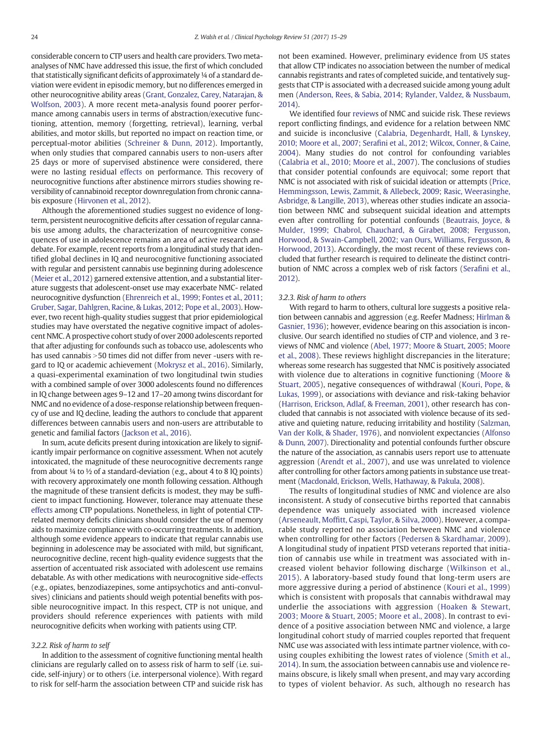considerable concern to CTP users and health care providers. Two metaanalyses of NMC have addressed this issue, the first of which concluded that statistically significant deficits of approximately ¼ of a standard deviation were evident in episodic memory, but no differences emerged in other neurocognitive ability areas ([Grant, Gonzalez, Carey, Natarajan, &](#page-12-0) [Wolfson, 2003\)](#page-12-0). A more recent meta-analysis found poorer performance among cannabis users in terms of abstraction/executive functioning, attention, memory (forgetting, retrieval), learning, verbal abilities, and motor skills, but reported no impact on reaction time, or perceptual-motor abilities [\(Schreiner & Dunn, 2012\)](#page-14-0). Importantly, when only studies that compared cannabis users to non-users after 25 days or more of supervised abstinence were considered, there were no lasting residual [effects](cran:effects) on performance. This recovery of neurocognitive functions after abstinence mirrors studies showing reversibility of cannabinoid receptor downregulation from chronic cannabis exposure [\(Hirvonen et al., 2012\)](#page-12-0).

Although the aforementioned studies suggest no evidence of longterm, persistent neurocognitive deficits after cessation of regular cannabis use among adults, the characterization of neurcognitive consequences of use in adolescence remains an area of active research and debate. For example, recent reports from a longitudinal study that identified global declines in IQ and neurocognitive functioning associated with regular and persistent cannabis use beginning during adolescence [\(Meier et al., 2012](#page-13-0)) garnered extensive attention, and a substantial literature suggests that adolescent-onset use may exacerbate NMC- related neurocognitive dysfunction ([Ehrenreich et al., 1999; Fontes et al., 2011;](#page-12-0) [Gruber, Sagar, Dahlgren, Racine, & Lukas, 2012; Pope et al., 2003\)](#page-12-0). However, two recent high-quality studies suggest that prior epidemiological studies may have overstated the negative cognitive impact of adolescent NMC. A prospective cohort study of over 2000 adolescents reported that after adjusting for confounds such as tobacco use, adolescents who has used cannabis > 50 times did not differ from never -users with regard to IQ or academic achievement [\(Mokrysz et al., 2016](#page-13-0)). Similarly, a quasi-experimental examination of two longitudinal twin studies with a combined sample of over 3000 adolescents found no differences in IQ change between ages 9–12 and 17–20 among twins discordant for NMC and no evidence of a dose-response relationship between frequency of use and IQ decline, leading the authors to conclude that apparent differences between cannabis users and non-users are attributable to genetic and familial factors ([Jackson et al., 2016](#page-12-0)).

In sum, acute deficits present during intoxication are likely to significantly impair performance on cognitive assessment. When not acutely intoxicated, the magnitude of these neurocognitive decrements range from about  $\frac{1}{4}$  to  $\frac{1}{2}$  of a standard-deviation (e.g., about 4 to 8 IQ points) with recovery approximately one month following cessation. Although the magnitude of these transient deficits is modest, they may be sufficient to impact functioning. However, tolerance may attenuate these [effects](cran:effects) among CTP populations. Nonetheless, in light of potential CTPrelated memory deficits clinicians should consider the use of memory aids to maximize compliance with co-occurring treatments. In addition, although some evidence appears to indicate that regular cannabis use beginning in adolescence may be associated with mild, but significant, neurocognitive decline, recent high-quality evidence suggests that the assertion of accentuated risk associated with adolescent use remains debatable. As with other medications with neurocognitive side-[effects](cran:effects) (e.g., opiates, benzodiazepines, some antipsychotics and anti-convulsives) clinicians and patients should weigh potential benefits with possible neurocognitive impact. In this respect, CTP is not unique, and providers should reference experiences with patients with mild neurocognitive deficits when working with patients using CTP.

# 3.2.2. Risk of harm to self

In addition to the assessment of cognitive functioning mental health clinicians are regularly called on to assess risk of harm to self (i.e. suicide, self-injury) or to others (i.e. interpersonal violence). With regard to risk for self-harm the association between CTP and suicide risk has not been examined. However, preliminary evidence from US states that allow CTP indicates no association between the number of medical cannabis registrants and rates of completed suicide, and tentatively suggests that CTP is associated with a decreased suicide among young adult men ([Anderson, Rees, & Sabia, 2014; Rylander, Valdez, & Nussbaum,](#page-11-0) [2014\)](#page-11-0).

We identified four [reviews](cran:review) of NMC and suicide risk. These reviews report conflicting findings, and evidence for a relation between NMC and suicide is inconclusive [\(Calabria, Degenhardt, Hall, & Lynskey,](#page-11-0) 2010; Moore et al., 2007; Serafi[ni et al., 2012; Wilcox, Conner, & Caine,](#page-11-0) [2004](#page-11-0)). Many studies do not control for confounding variables [\(Calabria et al., 2010; Moore et al., 2007\)](#page-11-0). The conclusions of studies that consider potential confounds are equivocal; some report that NMC is not associated with risk of suicidal ideation or attempts [\(Price,](#page-13-0) [Hemmingsson, Lewis, Zammit, & Allebeck, 2009; Rasic, Weerasinghe,](#page-13-0) [Asbridge, & Langille, 2013](#page-13-0)), whereas other studies indicate an association between NMC and subsequent suicidal ideation and attempts even after controlling for potential confounds [\(Beautrais, Joyce, &](#page-11-0) [Mulder, 1999; Chabrol, Chauchard, & Girabet, 2008; Fergusson,](#page-11-0) [Horwood, & Swain-Campbell, 2002; van Ours, Williams, Fergusson, &](#page-11-0) [Horwood, 2013\)](#page-11-0). Accordingly, the most recent of these reviews concluded that further research is required to delineate the distinct contribution of NMC across a complex web of risk factors (Serafi[ni et al.,](#page-14-0) [2012\)](#page-14-0).

## 3.2.3. Risk of harm to others

With regard to harm to others, cultural lore suggests a positive relation between cannabis and aggression (e.g. Reefer Madness; [Hirlman &](#page-12-0) [Gasnier, 1936](#page-12-0)); however, evidence bearing on this association is inconclusive. Our search identified no studies of CTP and violence, and 3 reviews of NMC and violence ([Abel, 1977; Moore & Stuart, 2005; Moore](#page-11-0) [et al., 2008](#page-11-0)). These reviews highlight discrepancies in the literature; whereas some research has suggested that NMC is positively associated with violence due to alterations in cognitive functioning [\(Moore &](#page-13-0) [Stuart, 2005\)](#page-13-0), negative consequences of withdrawal [\(Kouri, Pope, &](#page-12-0) [Lukas, 1999\)](#page-12-0), or associations with deviance and risk-taking behavior [\(Harrison, Erickson, Adlaf, & Freeman, 2001\)](#page-12-0), other research has concluded that cannabis is not associated with violence because of its sedative and quieting nature, reducing irritability and hostility ([Salzman,](#page-14-0) [Van der Kolk, & Shader, 1976\)](#page-14-0), and nonviolent expectancies [\(Alfonso](#page-11-0) [& Dunn, 2007\)](#page-11-0). Directionality and potential confounds further obscure the nature of the association, as cannabis users report use to attenuate aggression [\(Arendt et al., 2007\)](#page-11-0), and use was unrelated to violence after controlling for other factors among patients in substance use treatment [\(Macdonald, Erickson, Wells, Hathaway, & Pakula, 2008\)](#page-13-0).

The results of longitudinal studies of NMC and violence are also inconsistent. A study of consecutive births reported that cannabis dependence was uniquely associated with increased violence (Arseneault, Moffi[tt, Caspi, Taylor, & Silva, 2000\)](#page-11-0). However, a comparable study reported no association between NMC and violence when controlling for other factors ([Pedersen & Skardhamar, 2009](#page-13-0)). A longitudinal study of inpatient PTSD veterans reported that initiation of cannabis use while in treatment was associated with increased violent behavior following discharge ([Wilkinson et al.,](#page-14-0) [2015\)](#page-14-0). A laboratory-based study found that long-term users are more aggressive during a period of abstinence ([Kouri et al., 1999](#page-12-0)) which is consistent with proposals that cannabis withdrawal may underlie the associations with aggression [\(Hoaken & Stewart,](#page-12-0) [2003; Moore & Stuart, 2005; Moore et al., 2008](#page-12-0)). In contrast to evidence of a positive association between NMC and violence, a large longitudinal cohort study of married couples reported that frequent NMC use was associated with less intimate partner violence, with cousing couples exhibiting the lowest rates of violence ([Smith et al.,](#page-14-0) [2014](#page-14-0)). In sum, the association between cannabis use and violence remains obscure, is likely small when present, and may vary according to types of violent behavior. As such, although no research has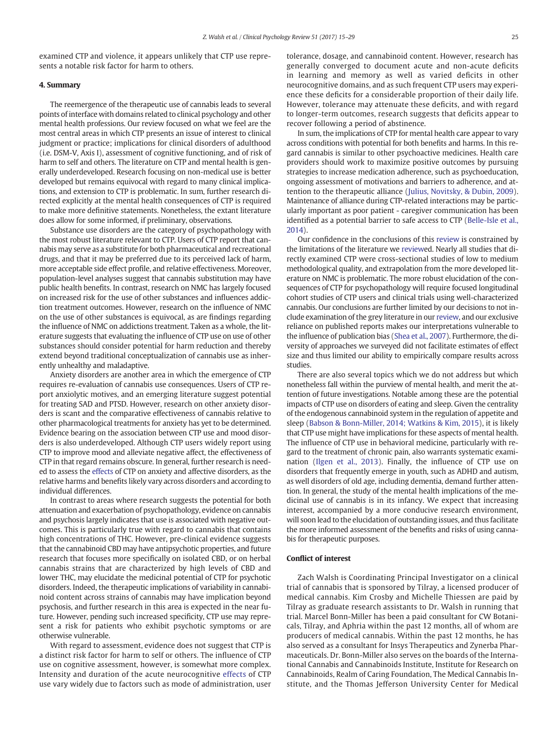examined CTP and violence, it appears unlikely that CTP use represents a notable risk factor for harm to others.

# 4. Summary

The reemergence of the therapeutic use of cannabis leads to several points of interface with domains related to clinical psychology and other mental health professions. Our review focused on what we feel are the most central areas in which CTP presents an issue of interest to clinical judgment or practice; implications for clinical disorders of adulthood (i.e. DSM-V, Axis I), assessment of cognitive functioning, and of risk of harm to self and others. The literature on CTP and mental health is generally underdeveloped. Research focusing on non-medical use is better developed but remains equivocal with regard to many clinical implications, and extension to CTP is problematic. In sum, further research directed explicitly at the mental health consequences of CTP is required to make more definitive statements. Nonetheless, the extant literature does allow for some informed, if preliminary, observations.

Substance use disorders are the category of psychopathology with the most robust literature relevant to CTP. Users of CTP report that cannabis may serve as a substitute for both pharmaceutical and recreational drugs, and that it may be preferred due to its perceived lack of harm, more acceptable side effect profile, and relative effectiveness. Moreover, population-level analyses suggest that cannabis substitution may have public health benefits. In contrast, research on NMC has largely focused on increased risk for the use of other substances and influences addiction treatment outcomes. However, research on the influence of NMC on the use of other substances is equivocal, as are findings regarding the influence of NMC on addictions treatment. Taken as a whole, the literature suggests that evaluating the influence of CTP use on use of other substances should consider potential for harm reduction and thereby extend beyond traditional conceptualization of cannabis use as inherently unhealthy and maladaptive.

Anxiety disorders are another area in which the emergence of CTP requires re-evaluation of cannabis use consequences. Users of CTP report anxiolytic motives, and an emerging literature suggest potential for treating SAD and PTSD. However, research on other anxiety disorders is scant and the comparative effectiveness of cannabis relative to other pharmacological treatments for anxiety has yet to be determined. Evidence bearing on the association between CTP use and mood disorders is also underdeveloped. Although CTP users widely report using CTP to improve mood and alleviate negative affect, the effectiveness of CTP in that regard remains obscure. In general, further research is needed to assess the [effects](cran:effects) of CTP on anxiety and affective disorders, as the relative harms and benefits likely vary across disorders and according to individual differences.

In contrast to areas where research suggests the potential for both attenuation and exacerbation of psychopathology, evidence on cannabis and psychosis largely indicates that use is associated with negative outcomes. This is particularly true with regard to cannabis that contains high concentrations of THC. However, pre-clinical evidence suggests that the cannabinoid CBD may have antipsychotic properties, and future research that focuses more specifically on isolated CBD, or on herbal cannabis strains that are characterized by high levels of CBD and lower THC, may elucidate the medicinal potential of CTP for psychotic disorders. Indeed, the therapeutic implications of variability in cannabinoid content across strains of cannabis may have implication beyond psychosis, and further research in this area is expected in the near future. However, pending such increased specificity, CTP use may represent a risk for patients who exhibit psychotic symptoms or are otherwise vulnerable.

With regard to assessment, evidence does not suggest that CTP is a distinct risk factor for harm to self or others. The influence of CTP use on cognitive assessment, however, is somewhat more complex. Intensity and duration of the acute neurocognitive [effects](cran:effects) of CTP use vary widely due to factors such as mode of administration, user tolerance, dosage, and cannabinoid content. However, research has generally converged to document acute and non-acute deficits in learning and memory as well as varied deficits in other neurocognitive domains, and as such frequent CTP users may experience these deficits for a considerable proportion of their daily life. However, tolerance may attenuate these deficits, and with regard to longer-term outcomes, research suggests that deficits appear to recover following a period of abstinence.

In sum, the implications of CTP for mental health care appear to vary across conditions with potential for both benefits and harms. In this regard cannabis is similar to other psychoactive medicines. Health care providers should work to maximize positive outcomes by pursuing strategies to increase medication adherence, such as psychoeducation, ongoing assessment of motivations and barriers to adherence, and attention to the therapeutic alliance [\(Julius, Novitsky, & Dubin, 2009](#page-12-0)). Maintenance of alliance during CTP-related interactions may be particularly important as poor patient - caregiver communication has been identified as a potential barrier to safe access to CTP [\(Belle-Isle et al.,](#page-11-0) [2014](#page-11-0)).

Our confidence in the conclusions of this [review](cran:review) is constrained by the limitations of the literature we [review](cran:review)ed. Nearly all studies that directly examined CTP were cross-sectional studies of low to medium methodological quality, and extrapolation from the more developed literature on NMC is problematic. The more robust elucidation of the consequences of CTP for psychopathology will require focused longitudinal cohort studies of CTP users and clinical trials using well-characterized cannabis. Our conclusions are further limited by our decisions to not include examination of the grey literature in our [review,](cran:review) and our exclusive reliance on published reports makes our interpretations vulnerable to the influence of publication bias [\(Shea et al., 2007](#page-14-0)). Furthermore, the diversity of approaches we surveyed did not facilitate estimates of effect size and thus limited our ability to empirically compare results across studies.

There are also several topics which we do not address but which nonetheless fall within the purview of mental health, and merit the attention of future investigations. Notable among these are the potential impacts of CTP use on disorders of eating and sleep. Given the centrality of the endogenous cannabinoid system in the regulation of appetite and sleep [\(Babson & Bonn-Miller, 2014; Watkins & Kim, 2015\)](#page-11-0), it is likely that CTP use might have implications for these aspects of mental health. The influence of CTP use in behavioral medicine, particularly with regard to the treatment of chronic pain, also warrants systematic examination [\(Ilgen et al., 2013\)](#page-12-0). Finally, the influence of CTP use on disorders that frequently emerge in youth, such as ADHD and autism, as well disorders of old age, including dementia, demand further attention. In general, the study of the mental health implications of the medicinal use of cannabis is in its infancy. We expect that increasing interest, accompanied by a more conducive research environment, will soon lead to the elucidation of outstanding issues, and thus facilitate the more informed assessment of the benefits and risks of using cannabis for therapeutic purposes.

#### Conflict of interest

Zach Walsh is Coordinating Principal Investigator on a clinical trial of cannabis that is sponsored by Tilray, a licensed producer of medical cannabis. Kim Crosby and Michelle Thiessen are paid by Tilray as graduate research assistants to Dr. Walsh in running that trial. Marcel Bonn-Miller has been a paid consultant for CW Botanicals, Tilray, and Aphria within the past 12 months, all of whom are producers of medical cannabis. Within the past 12 months, he has also served as a consultant for Insys Therapeutics and Zynerba Pharmaceuticals. Dr. Bonn-Miller also serves on the boards of the International Cannabis and Cannabinoids Institute, Institute for Research on Cannabinoids, Realm of Caring Foundation, The Medical Cannabis Institute, and the Thomas Jefferson University Center for Medical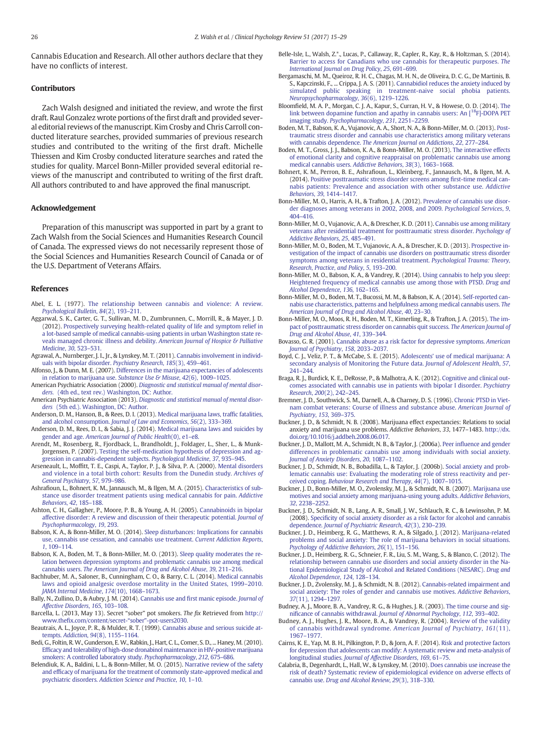<span id="page-11-0"></span>Cannabis Education and Research. All other authors declare that they have no conflicts of interest.

# Contributors

Zach Walsh designed and initiated the review, and wrote the first draft. Raul Gonzalez wrote portions of the first draft and provided several editorial reviews of the manuscript. Kim Crosby and Chris Carroll conducted literature searches, provided summaries of previous research studies and contributed to the writing of the first draft. Michelle Thiessen and Kim Crosby conducted literature searches and rated the studies for quality. Marcel Bonn-Miller provided several editorial reviews of the manuscript and contributed to writing of the first draft. All authors contributed to and have approved the final manuscript.

# Acknowledgement

Preparation of this manuscript was supported in part by a grant to Zach Walsh from the Social Sciences and Humanities Research Council of Canada. The expressed views do not necessarily represent those of the Social Sciences and Humanities Research Council of Canada or of the U.S. Department of Veterans Affairs.

# References

- Abel, E. L. (1977). [The relationship between cannabis and violence: A review.](http://refhub.elsevier.com/S0272-7358(16)30093-9/rf0005) [Psychological Bulletin](http://refhub.elsevier.com/S0272-7358(16)30093-9/rf0005), 84(2), 193–211.
- Aggarwal, S. K., Carter, G. T., Sullivan, M. D., Zumbrunnen, C., Morrill, R., & Mayer, J. D. (2012). [Prospectively surveying health-related quality of life and symptom relief in](http://refhub.elsevier.com/S0272-7358(16)30093-9/rf0010) [a lot-based sample of medical cannabis-using patients in urban Washington state re](http://refhub.elsevier.com/S0272-7358(16)30093-9/rf0010)[veals managed chronic illness and debility.](http://refhub.elsevier.com/S0272-7358(16)30093-9/rf0010) American Journal of Hospice & Palliative [Medicine](http://refhub.elsevier.com/S0272-7358(16)30093-9/rf0010), 30, 523–531.
- Agrawal, A., Nurnberger, J. I., Jr., & Lynskey, M. T. (2011). [Cannabis involvement in individ](http://refhub.elsevier.com/S0272-7358(16)30093-9/rf0015)[uals with bipolar disorder.](http://refhub.elsevier.com/S0272-7358(16)30093-9/rf0015) Psychiatry Research, 185(3), 459–461.
- Alfonso, J., & Dunn, M. E. (2007). [Differences in the marijuana expectancies of adolescents](http://refhub.elsevier.com/S0272-7358(16)30093-9/rf0020) [in relation to marijuana use.](http://refhub.elsevier.com/S0272-7358(16)30093-9/rf0020) Substance Use & Misuse, 42(6), 1009-1025.
- American Psychiatric Association (2000). [Diagnostic and statistical manual of mental disor](http://refhub.elsevier.com/S0272-7358(16)30093-9/rf0035)ders. [\(4th ed., text rev.\) Washington, DC: Author.](http://refhub.elsevier.com/S0272-7358(16)30093-9/rf0035)
- American Psychiatric Association (2013). [Diagnostic and statistical manual of mental disor](http://refhub.elsevier.com/S0272-7358(16)30093-9/rf0040)ders [\(5th ed.\). Washington, DC: Author.](http://refhub.elsevier.com/S0272-7358(16)30093-9/rf0040)
- Anderson, D. M., Hanson, B., & Rees, D. I. (2013). [Medical marijuana laws, traf](http://refhub.elsevier.com/S0272-7358(16)30093-9/rf0045)fic fatalities, and alcohol consumption. [Journal of Law and Economics](http://refhub.elsevier.com/S0272-7358(16)30093-9/rf0045), 56(2), 333–369.
- Anderson, D. M., Rees, D. I., & Sabia, J. J. (2014). [Medical marijuana laws and suicides by](http://refhub.elsevier.com/S0272-7358(16)30093-9/rf0050) gender and age. [American Journal of Public Health](http://refhub.elsevier.com/S0272-7358(16)30093-9/rf0050)(0), e1–e8.
- Arendt, M., Rosenberg, R., Fjordback, L., Brandholdt, J., Foldager, L., Sher, L., & Munk-Jorgensen, P. (2007). [Testing the self-medication hypothesis of depression and ag](http://refhub.elsevier.com/S0272-7358(16)30093-9/rf0055)[gression in cannabis-dependent subjects.](http://refhub.elsevier.com/S0272-7358(16)30093-9/rf0055) Psychological Medicine, 37, 935–945.
- Arseneault, L., Moffitt, T. E., Caspi, A., Taylor, P. J., & Silva, P. A. (2000). [Mental disorders](http://refhub.elsevier.com/S0272-7358(16)30093-9/rf0060) [and violence in a total birth cohort: Results from the Dunedin study.](http://refhub.elsevier.com/S0272-7358(16)30093-9/rf0060) Archives of [General Psychiatry](http://refhub.elsevier.com/S0272-7358(16)30093-9/rf0060), 57, 979–986.
- Ashrafioun, L., Bohnert, K. M., Jannausch, M., & Ilgen, M. A. (2015). [Characteristics of sub](http://refhub.elsevier.com/S0272-7358(16)30093-9/rf0065)[stance use disorder treatment patients using medical cannabis for pain.](http://refhub.elsevier.com/S0272-7358(16)30093-9/rf0065) Addictive [Behaviors](http://refhub.elsevier.com/S0272-7358(16)30093-9/rf0065), 42, 185–188.
- Ashton, C. H., Gallagher, P., Moore, P. B., & Young, A. H. (2005). [Cannabinoids in bipolar](http://refhub.elsevier.com/S0272-7358(16)30093-9/rf0070) [affective disorder: A review and discussion of their therapeutic potential.](http://refhub.elsevier.com/S0272-7358(16)30093-9/rf0070) Journal of [Psychopharmacology](http://refhub.elsevier.com/S0272-7358(16)30093-9/rf0070), 19, 293.
- Babson, K. A., & Bonn-Miller, M. O. (2014). [Sleep disturbances: Implications for cannabis](http://refhub.elsevier.com/S0272-7358(16)30093-9/rf0075) [use, cannabis use cessation, and cannabis use treatment.](http://refhub.elsevier.com/S0272-7358(16)30093-9/rf0075) Current Addiction Reports, 1[, 109](http://refhub.elsevier.com/S0272-7358(16)30093-9/rf0075)–114.
- Babson, K. A., Boden, M. T., & Bonn-Miller, M. O. (2013). [Sleep quality moderates the re](http://refhub.elsevier.com/S0272-7358(16)30093-9/rf0080)[lation between depression symptoms and problematic cannabis use among medical](http://refhub.elsevier.com/S0272-7358(16)30093-9/rf0080) cannabis users. [The American Journal of Drug and Alcohol Abuse](http://refhub.elsevier.com/S0272-7358(16)30093-9/rf0080), 39, 211–216.
- Bachhuber, M. A., Saloner, B., Cunningham, C. O., & Barry, C. L. (2014). [Medical cannabis](http://refhub.elsevier.com/S0272-7358(16)30093-9/rf0085) [laws and opioid analgesic overdose mortality in the United States, 1999](http://refhub.elsevier.com/S0272-7358(16)30093-9/rf0085)–2010. [JAMA Internal Medicine](http://refhub.elsevier.com/S0272-7358(16)30093-9/rf0085), 174(10), 1668–1673.
- Bally, N., Zullino, D., & Aubry, J. M. (2014). Cannabis use and fi[rst manic episode.](http://refhub.elsevier.com/S0272-7358(16)30093-9/rf0090) Journal of [Affective Disorders](http://refhub.elsevier.com/S0272-7358(16)30093-9/rf0090), 165, 103–108.
- Barcella, L. (2013, May 13). Secret "sober" pot smokers. The fix Retrieved from [http://](http://www.thefix.com/content/secret-%E2%80%9Csober%E2%80%9D-pot-users2030) www.thefi[x.com/content/secret-](http://www.thefix.com/content/secret-%E2%80%9Csober%E2%80%9D-pot-users2030)"sober"-pot-users2030.
- Beautrais, A. L., Joyce, P. R., & Mulder, R. T. (1999). [Cannabis abuse and serious suicide at](http://refhub.elsevier.com/S0272-7358(16)30093-9/rf0100)tempts. Addiction, 94[\(8\), 1155](http://refhub.elsevier.com/S0272-7358(16)30093-9/rf0100)–1164.
- Bedi, G., Foltin, R. W., Gunderson, E. W., Rabkin, J., Hart, C. L., Comer, S. D., ... Haney, M. (2010). Effi[cacy and tolerability of high-dose dronabinol maintenance in HIV-positive marijuana](http://refhub.elsevier.com/S0272-7358(16)30093-9/rf0105) [smokers: A controlled laboratory study.](http://refhub.elsevier.com/S0272-7358(16)30093-9/rf0105) Psychopharmacology, 212, 675–686.
- Belendiuk, K. A., Baldini, L. L., & Bonn-Miller, M. O. (2015). [Narrative review of the safety](http://refhub.elsevier.com/S0272-7358(16)30093-9/rf0110) and effi[cacy of marijuana for the treatment of commonly state-approved medical and](http://refhub.elsevier.com/S0272-7358(16)30093-9/rf0110) psychiatric disorders. [Addiction Science and Practice](http://refhub.elsevier.com/S0272-7358(16)30093-9/rf0110), 10, 1–10.
- Belle-Isle, L., Walsh, Z.\*., Lucas, P., Callaway, R., Capler, R., Kay, R., & Holtzman, S. (2014). [Barrier to access for Canadians who use cannabis for therapeutic purposes.](http://refhub.elsevier.com/S0272-7358(16)30093-9/rf0115) The [International Journal on Drug Policy](http://refhub.elsevier.com/S0272-7358(16)30093-9/rf0115), 25, 691–699.
- Bergamaschi, M. M., Queiroz, R. H. C., Chagas, M. H. N., de Oliveira, D. C. G., De Martinis, B. S., Kapczinski, F., ... Crippa, J. A. S. (2011). [Cannabidiol reduces the anxiety induced by](http://refhub.elsevier.com/S0272-7358(16)30093-9/rf0120) [simulated public speaking in treatment-naive social phobia patients.](http://refhub.elsevier.com/S0272-7358(16)30093-9/rf0120) [Neuropsychopharmacology](http://refhub.elsevier.com/S0272-7358(16)30093-9/rf0120), 36(6), 1219–1226.
- Bloomfield, M. A. P., Morgan, C. J. A., Kapur, S., Curran, H. V., & Howese, O. D. (2014). [The](http://refhub.elsevier.com/S0272-7358(16)30093-9/rf0125) [link](http://refhub.elsevier.com/S0272-7358(16)30093-9/rf0125) [between](http://refhub.elsevier.com/S0272-7358(16)30093-9/rf0125) [dopamine](http://refhub.elsevier.com/S0272-7358(16)30093-9/rf0125) [function](http://refhub.elsevier.com/S0272-7358(16)30093-9/rf0125) [and](http://refhub.elsevier.com/S0272-7358(16)30093-9/rf0125) [apathy](http://refhub.elsevier.com/S0272-7358(16)30093-9/rf0125) [in](http://refhub.elsevier.com/S0272-7358(16)30093-9/rf0125) [cannabis](http://refhub.elsevier.com/S0272-7358(16)30093-9/rf0125) [users:](http://refhub.elsevier.com/S0272-7358(16)30093-9/rf0125) [An](http://refhub.elsevier.com/S0272-7358(16)30093-9/rf0125) [\[18F\]-DOPA PET](http://refhub.elsevier.com/S0272-7358(16)30093-9/rf0125) imaging study. [Psychopharmacology](http://refhub.elsevier.com/S0272-7358(16)30093-9/rf0125), 231, 2251–2259.
- Boden, M. T., Babson, K. A., Vujanovic, A. A., Short, N. A., & Bonn-Miller, M. O. (2013). [Post](http://refhub.elsevier.com/S0272-7358(16)30093-9/rf0130)[traumatic stress disorder and cannabis use characteristics among military veterans](http://refhub.elsevier.com/S0272-7358(16)30093-9/rf0130) with cannabis dependence. [The American Journal on Addictions](http://refhub.elsevier.com/S0272-7358(16)30093-9/rf0130), 22, 277–284.
- Boden, M. T., Gross, J. J., Babson, K. A., & Bonn-Miller, M. O. (2013). [The interactive effects](http://refhub.elsevier.com/S0272-7358(16)30093-9/rf0135) [of emotional clarity and cognitive reappraisal on problematic cannabis use among](http://refhub.elsevier.com/S0272-7358(16)30093-9/rf0135) [medical cannabis users.](http://refhub.elsevier.com/S0272-7358(16)30093-9/rf0135) Addictive Behaviors, 38(3), 1663–1668.
- Bohnert, K. M., Perron, B. E., Ashrafioun, L., Kleinberg, F., Jannausch, M., & Ilgen, M. A. (2014). [Positive posttraumatic stress disorder screens among](http://refhub.elsevier.com/S0272-7358(16)30093-9/rf0140) first-time medical can[nabis patients: Prevalence and association with other substance use.](http://refhub.elsevier.com/S0272-7358(16)30093-9/rf0140) Addictive [Behaviors](http://refhub.elsevier.com/S0272-7358(16)30093-9/rf0140), 39, 1414–1417.
- Bonn-Miller, M. O., Harris, A. H., & Trafton, J. A. (2012). [Prevalence of cannabis use disor](http://refhub.elsevier.com/S0272-7358(16)30093-9/rf0145)[der diagnoses among veterans in 2002, 2008, and 2009.](http://refhub.elsevier.com/S0272-7358(16)30093-9/rf0145) Psychological Services, 9, 404–[416.](http://refhub.elsevier.com/S0272-7358(16)30093-9/rf0145)
- Bonn-Miller, M. O., Vujanovic, A. A., & Drescher, K. D. (2011). [Cannabis use among military](http://refhub.elsevier.com/S0272-7358(16)30093-9/rf3000) [veterans after residential treatment for posttraumatic stress disorder.](http://refhub.elsevier.com/S0272-7358(16)30093-9/rf3000) Psychology of [Addictive Behaviors](http://refhub.elsevier.com/S0272-7358(16)30093-9/rf3000), 25, 485–491.
- Bonn-Miller, M. O., Boden, M. T., Vujanovic, A. A., & Drescher, K. D. (2013). [Prospective in](http://refhub.elsevier.com/S0272-7358(16)30093-9/rf0150)[vestigation of the impact of cannabis use disorders on posttraumatic stress disorder](http://refhub.elsevier.com/S0272-7358(16)30093-9/rf0150) [symptoms among veterans in residential treatment.](http://refhub.elsevier.com/S0272-7358(16)30093-9/rf0150) Psychological Trauma: Theory, [Research, Practice, and Policy](http://refhub.elsevier.com/S0272-7358(16)30093-9/rf0150), 5, 193–200.
- Bonn-Miller, M. O., Babson, K. A., & Vandrey, R. (2014). [Using cannabis to help you sleep:](http://refhub.elsevier.com/S0272-7358(16)30093-9/rf0155) [Heightened frequency of medical cannabis use among those with PTSD.](http://refhub.elsevier.com/S0272-7358(16)30093-9/rf0155) Drug and [Alcohol Dependence](http://refhub.elsevier.com/S0272-7358(16)30093-9/rf0155), 136, 162–165.
- Bonn-Miller, M. O., Boden, M. T., Bucossi, M. M., & Babson, K. A. (2014). [Self-reported can](http://refhub.elsevier.com/S0272-7358(16)30093-9/rf0160)[nabis use characteristics, patterns and helpfulness among medical cannabis users.](http://refhub.elsevier.com/S0272-7358(16)30093-9/rf0160) The [American Journal of Drug and Alcohol Abuse](http://refhub.elsevier.com/S0272-7358(16)30093-9/rf0160), 40, 23–30.
- Bonn-Miller, M. O., Moos, R. H., Boden, M. T., Kimerling, R., & Trafton, J. A. (2015). [The im](http://refhub.elsevier.com/S0272-7358(16)30093-9/rf0165)[pact of posttraumatic stress disorder on cannabis quit success.](http://refhub.elsevier.com/S0272-7358(16)30093-9/rf0165) The American Journal of [Drug and Alcohol Abuse](http://refhub.elsevier.com/S0272-7358(16)30093-9/rf0165), 41, 339–344.
- Bovasso, G. R. (2001). [Cannabis abuse as a risk factor for depressive symptoms.](http://refhub.elsevier.com/S0272-7358(16)30093-9/rf0170) American [Journal of Psychiatry](http://refhub.elsevier.com/S0272-7358(16)30093-9/rf0170), 158, 2033–2037.
- Boyd, C. J., Veliz, P. T., & McCabe, S. E. (2015). Adolescents' [use of medical marijuana: A](http://refhub.elsevier.com/S0272-7358(16)30093-9/rf2065) [secondary analysis of Monitoring the Future data.](http://refhub.elsevier.com/S0272-7358(16)30093-9/rf2065) Journal of Adolescent Health, 57, 241–[244.](http://refhub.elsevier.com/S0272-7358(16)30093-9/rf2065)
- Braga, R. J., Burdick, K. E., DeRosse, P., & Malhotra, A. K. (2012). [Cognitive and clinical out](http://refhub.elsevier.com/S0272-7358(16)30093-9/rf0175)[comes associated with cannabis use in patients with bipolar I disorder.](http://refhub.elsevier.com/S0272-7358(16)30093-9/rf0175) Psychiatry [Research](http://refhub.elsevier.com/S0272-7358(16)30093-9/rf0175), 200(2), 242–245.
- Bremner, J. D., Southwick, S. M., Darnell, A., & Charney, D. S. (1996). [Chronic PTSD in Viet](http://refhub.elsevier.com/S0272-7358(16)30093-9/rf0180)[nam combat veterans: Course of illness and substance abuse.](http://refhub.elsevier.com/S0272-7358(16)30093-9/rf0180) American Journal of [Psychiatry](http://refhub.elsevier.com/S0272-7358(16)30093-9/rf0180), 153, 369–375.
- Buckner, J. D., & Schmidt, N. B. (2008). Marijuana effect expectancies: Relations to social anxiety and marijuana use problems. Addictive Behaviors, 33, 1477–1483. http://dx. doi.org/[10.1016/j.addbeh.2008.06.017.](http://dx.doi.org/10.1016/j.addbeh.2008.06.017)
- Buckner, J. D., Mallott, M. A., Schmidt, N. B., & Taylor, J. (2006a). Peer infl[uence and gender](http://refhub.elsevier.com/S0272-7358(16)30093-9/rf0190) [differences in problematic cannabis use among individuals with social anxiety.](http://refhub.elsevier.com/S0272-7358(16)30093-9/rf0190) [Journal of Anxiety Disorders](http://refhub.elsevier.com/S0272-7358(16)30093-9/rf0190), 20, 1087–1102.
- Buckner, J. D., Schmidt, N. B., Bobadilla, L., & Taylor, J. (2006b). [Social anxiety and prob](http://refhub.elsevier.com/S0272-7358(16)30093-9/rf0195)[lematic cannabis use: Evaluating the moderating role of stress reactivity and per](http://refhub.elsevier.com/S0272-7358(16)30093-9/rf0195)ceived coping. [Behaviour Research and Therapy](http://refhub.elsevier.com/S0272-7358(16)30093-9/rf0195), 44(7), 1007–1015.
- Buckner, J. D., Bonn-Miller, M. O., Zvolensky, M. J., & Schmidt, N. B. (2007). [Marijuana use](http://refhub.elsevier.com/S0272-7358(16)30093-9/rf0200) [motives and social anxiety among marijuana-using young adults.](http://refhub.elsevier.com/S0272-7358(16)30093-9/rf0200) Addictive Behaviors, 32[, 2238](http://refhub.elsevier.com/S0272-7358(16)30093-9/rf0200)–2252.
- Buckner, J. D., Schmidt, N. B., Lang, A. R., Small, J. W., Schlauch, R. C., & Lewinsohn, P. M. (2008). Specifi[city of social anxiety disorder as a risk factor for alcohol and cannabis](http://refhub.elsevier.com/S0272-7358(16)30093-9/rf0205) dependence. [Journal of Psychiatric Research](http://refhub.elsevier.com/S0272-7358(16)30093-9/rf0205), 42(3), 230–239.
- Buckner, J. D., Heimberg, R. G., Matthews, R. A., & Silgado, J. (2012). [Marijuana-related](http://refhub.elsevier.com/S0272-7358(16)30093-9/rf0210) [problems and social anxiety: The role of marijuana behaviors in social situations.](http://refhub.elsevier.com/S0272-7358(16)30093-9/rf0210) [Psychology of Addictive Behaviors](http://refhub.elsevier.com/S0272-7358(16)30093-9/rf0210), 26(1), 151–156.
- Buckner, J. D., Heimberg, R. G., Schneier, F. R., Liu, S. M., Wang, S., & Blanco, C. (2012). [The](http://refhub.elsevier.com/S0272-7358(16)30093-9/rf0215) [relationship between cannabis use disorders and social anxiety disorder in the Na](http://refhub.elsevier.com/S0272-7358(16)30093-9/rf0215)[tional Epidemiological Study of Alcohol and Related Conditions \(NESARC\).](http://refhub.elsevier.com/S0272-7358(16)30093-9/rf0215) Drug and [Alcohol Dependence](http://refhub.elsevier.com/S0272-7358(16)30093-9/rf0215), 124, 128–134.
- Buckner, J. D., Zvolensky, M. J., & Schmidt, N. B. (2012). [Cannabis-related impairment and](http://refhub.elsevier.com/S0272-7358(16)30093-9/rf0220) [social anxiety: The roles of gender and cannabis use motives.](http://refhub.elsevier.com/S0272-7358(16)30093-9/rf0220) Addictive Behaviors, 37[\(11\), 1294](http://refhub.elsevier.com/S0272-7358(16)30093-9/rf0220)–1297.
- Budney, A. J., Moore, B. A., Vandrey, R. G., & Hughes, J. R. (2003). [The time course and sig](http://refhub.elsevier.com/S0272-7358(16)30093-9/rf0225)nificance of cannabis withdrawal. [Journal of Abnormal Psychology](http://refhub.elsevier.com/S0272-7358(16)30093-9/rf0225), 112, 393–402.
- Budney, A. J., Hughes, J. R., Moore, B. A., & Vandrey, R. (2004). [Review of the validity](http://refhub.elsevier.com/S0272-7358(16)30093-9/rf0230) [of cannabis withdrawal syndrome.](http://refhub.elsevier.com/S0272-7358(16)30093-9/rf0230) American Journal of Psychiatry, 161(11), 1967–[1977.](http://refhub.elsevier.com/S0272-7358(16)30093-9/rf0230)
- Cairns, K. E., Yap, M. B. H., Pilkington, P. D., & Jorn, A. F. (2014). [Risk and protective factors](http://refhub.elsevier.com/S0272-7358(16)30093-9/rf0235) [for depression that adolescents can modify: A systematic review and meta-analysis of](http://refhub.elsevier.com/S0272-7358(16)30093-9/rf0235) longitudinal studies. [Journal of Affective Disorders](http://refhub.elsevier.com/S0272-7358(16)30093-9/rf0235), 169, 61–75.
- Calabria, B., Degenhardt, L., Hall, W., & Lynskey, M. (2010). [Does cannabis use increase the](http://refhub.elsevier.com/S0272-7358(16)30093-9/rf0240) [risk of death? Systematic review of epidemiological evidence on adverse effects of](http://refhub.elsevier.com/S0272-7358(16)30093-9/rf0240) cannabis use. [Drug and Alcohol Review](http://refhub.elsevier.com/S0272-7358(16)30093-9/rf0240), 29(3), 318–330.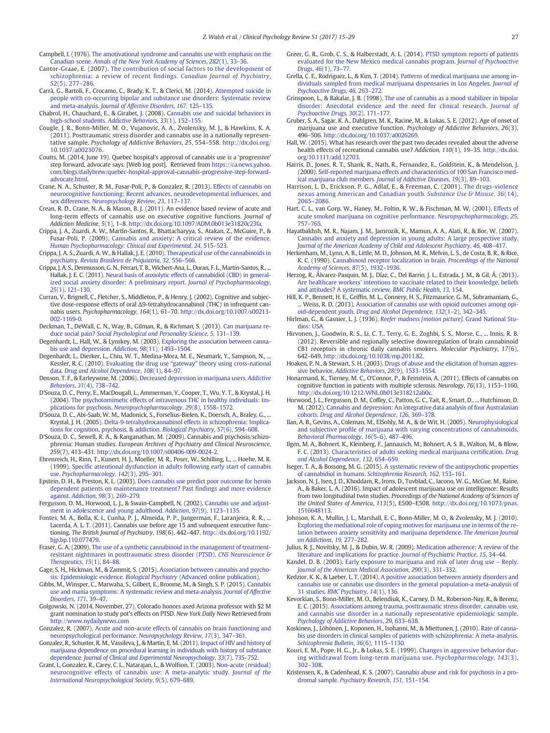- <span id="page-12-0"></span>Campbell, I. (1976). [The amotivational syndrome and cannabis use with emphasis on the](http://refhub.elsevier.com/S0272-7358(16)30093-9/rf0245) Canadian scene. [Annals of the New York Academy of Sciences](http://refhub.elsevier.com/S0272-7358(16)30093-9/rf0245), 282(1), 33–36.
- Cantor-Graae, E. (2007). [The contribution of social factors to the development of](http://refhub.elsevier.com/S0272-7358(16)30093-9/rf0255) [schizophrenia: a review of recent](http://refhub.elsevier.com/S0272-7358(16)30093-9/rf0255) findings. Canadian Journal of Psychiatry, 52[\(5\), 277](http://refhub.elsevier.com/S0272-7358(16)30093-9/rf0255)–286.
- Carrà, G., Bartoli, F., Crocamo, C., Brady, K. T., & Clerici, M. (2014). [Attempted suicide in](http://refhub.elsevier.com/S0272-7358(16)30093-9/rf0260) [people with co-occurring bipolar and substance use disorders: Systematic review](http://refhub.elsevier.com/S0272-7358(16)30093-9/rf0260) and meta-analysis. [Journal of Affective Disorders](http://refhub.elsevier.com/S0272-7358(16)30093-9/rf0260), 167, 125–135.
- Chabrol, H., Chauchard, E., & Girabet, J. (2008). [Cannabis use and suicidal behaviors in](http://refhub.elsevier.com/S0272-7358(16)30093-9/rf0265) [high-school students.](http://refhub.elsevier.com/S0272-7358(16)30093-9/rf0265) Addictive Behaviors, 33(1), 152–155.
- Cougle, J. R., Bonn-Miller, M. O., Vujanovic, A. A., Zvolensky, M. J., & Hawkins, K. A. (2011). Posttraumatic stress disorder and cannabis use in a nationally representative sample. Psychology of Addictive Behaviors, 25, 554–558. http://dx.doi.org/ [10.1037/a0023076](http://dx.doi.org/10.1037/a0023076).
- Coutts, M. (2014, June 19). Quebec hospital's approval of cannabis use is a 'progressive' step forward, advocate says. [Web log post]. Retrieved from [https://ca.news.yahoo.](https://ca.news.yahoo.com/blogs/dailybrew/quebec-hospital-approval-cannabis-progressive-step-forward-advocate.html) [com/blogs/dailybrew/quebec-hospital-approval-cannabis-progressive-step-forward](https://ca.news.yahoo.com/blogs/dailybrew/quebec-hospital-approval-cannabis-progressive-step-forward-advocate.html)advocate.html
- Crane, N. A., Schuster, R. M., Fusar-Poli, P., & Gonzalez, R. (2013). [Effects of cannabis on](http://refhub.elsevier.com/S0272-7358(16)30093-9/rf0280) [neurocognitive functioning: Recent advances, neurodevelopmental in](http://refhub.elsevier.com/S0272-7358(16)30093-9/rf0280)fluences, and sex differences. [Neuropsychology Review](http://refhub.elsevier.com/S0272-7358(16)30093-9/rf0280), 23, 117–137.
- Crean, R. D., Crane, N. A., & Mason, B. J. (2011). An evidence based review of acute and long-term effects of cannabis use on executive cognitive functions. Journal of Addiction Medicine, 5(1), 1–8. http://dx.doi.org[/10.1097/ADM.0b013e31820c23fa.](http://dx.doi.org/10.1097/ADM.0b013e31820c23fa)
- Crippa, J. A., Zuardi, A. W., Martín-Santos, R., Bhattacharyya, S., Atakan, Z., McGuire, P., & Fusar-Poli, P. (2009). [Cannabis and anxiety: A critical review of the evidence.](http://refhub.elsevier.com/S0272-7358(16)30093-9/rf0290) [Human Psychopharmacology: Clinical and Experimental](http://refhub.elsevier.com/S0272-7358(16)30093-9/rf0290), 24, 515–523.
- Crippa, J. A. S., Zuardi, A. W., & Hallak, J. E. (2010). [Therapeutical use of the cannabinoids in](http://refhub.elsevier.com/S0272-7358(16)30093-9/rf0295) psychiatry. [Revista Brasileira de Psiquiatria](http://refhub.elsevier.com/S0272-7358(16)30093-9/rf0295), 32, 556–566.
- Crippa, J. A. S., Derenusson, G. N., Ferrari, T. B., Wichert-Ana, L., Duran, F. L., Martin-Santos, R., Hallak, J. E. C. (2011). [Neural basis of anxiolytic effects of cannabidiol \(CBD\) in general](http://refhub.elsevier.com/S0272-7358(16)30093-9/rf0300)[ized social anxiety disorder: A preliminary report.](http://refhub.elsevier.com/S0272-7358(16)30093-9/rf0300) Journal of Psychopharmacology, 25[\(1\), 121](http://refhub.elsevier.com/S0272-7358(16)30093-9/rf0300)–130.
- Curran, V., Brignell, C., Fletcher, S., Middleton, P., & Henry, J. (2002). Cognitive and subjective dose-response effects of oral Δ9-tetrahydrocannabinol (THC) in infrequent cannabis users. Psychopharmacology, 164(1), 61–70. http://dx.doi.org[/10.1007/s00213-](http://dx.doi.org/10.1007/s00213-002-1169-0) [002-1169-0.](http://dx.doi.org/10.1007/s00213-002-1169-0)
- Deckman, T., DeWall, C. N., Way, B., Gilman, R., & Richman, S. (2013). [Can marijuana re](http://refhub.elsevier.com/S0272-7358(16)30093-9/rf0310)duce social pain? [Social Psychological and Personality Science](http://refhub.elsevier.com/S0272-7358(16)30093-9/rf0310), 5, 131–139.
- Degenhardt, L., Hall, W., & Lynskey, M. (2003). [Exploring the association between canna](http://refhub.elsevier.com/S0272-7358(16)30093-9/rf0320)[bis use and depression.](http://refhub.elsevier.com/S0272-7358(16)30093-9/rf0320) Addiction, 98(11), 1493–1504.
- Degenhardt, L., Dierker, L., Chiu, W. T., Medina-Mora, M. E., Neumark, Y., Sampson, N., Kessler, R. C. (2010). Evaluating the drug use "gateway" [theory using cross-national](http://refhub.elsevier.com/S0272-7358(16)30093-9/rf0325) data. [Drug and Alcohol Dependence](http://refhub.elsevier.com/S0272-7358(16)30093-9/rf0325), 108(1), 84–97.
- Denson, T. F., & Earleywine, M. (2006). [Decreased depression in marijuana users.](http://refhub.elsevier.com/S0272-7358(16)30093-9/rf0330) Addictive [Behaviors](http://refhub.elsevier.com/S0272-7358(16)30093-9/rf0330), 31(4), 738–742.
- D'Souza, D. C., Perry, E., MacDougall, L., Ammerman, Y., Cooper, T., Wu, Y. T., & Krystal, J. H. (2004). [The psychotomimetic effects of intravenous THC in healthy individuals: Im](http://refhub.elsevier.com/S0272-7358(16)30093-9/rf0335)plications for psychosis. [Neuropsychopharmacology](http://refhub.elsevier.com/S0272-7358(16)30093-9/rf0335), 29(8), 1558–1572.
- D'Souza, D. C., Abi-Saab, W. M., Madonick, S., Forselius-Bielen, K., Doersch, A., Braley, G., ... Krystal, J. H. (2005). [Delta-9-tetrahydrocannabinol effects in schizophrenia: Implica](http://refhub.elsevier.com/S0272-7358(16)30093-9/rf0340)[tions for cognition, psychosis, & addiction.](http://refhub.elsevier.com/S0272-7358(16)30093-9/rf0340) Biological Psychiatry, 57(6), 594–608.
- D'Souza, D. C., Sewell, R. A., & Ranganathan, M. (2009). Cannabis and psychosis/schizophrenia: Human studies. European Archives of Psychiatry and Clinical Neuroscience, 259(7), 413–431. http://dx.doi.org[/10.1007/s00406-009-0024-2](http://dx.doi.org/10.1007/s00406-009-0024-2).
- Ehrenreich, H., Rinn, T., Kunert, H. J., Moeller, M. R., Poser, W., Schilling, L., ... Hoehe, M. R. (1999). Specifi[c attentional dysfunction in adults following early start of cannabis](http://refhub.elsevier.com/S0272-7358(16)30093-9/rf0350) use. [Psychopharmacology](http://refhub.elsevier.com/S0272-7358(16)30093-9/rf0350), 142(3), 295–301.
- Epstein, D. H., & Preston, K. L. (2003). [Does cannabis use predict poor outcome for heroin](http://refhub.elsevier.com/S0272-7358(16)30093-9/rf0355) [dependent patients on maintenance treatment? Past](http://refhub.elsevier.com/S0272-7358(16)30093-9/rf0355) findings and more evidence against. [Addiction](http://refhub.elsevier.com/S0272-7358(16)30093-9/rf0355), 98(3), 269–279.
- Fergusson, D. M., Horwood, L. J., & Swain-Campbell, N. (2002). [Cannabis use and adjust](http://refhub.elsevier.com/S0272-7358(16)30093-9/rf0360)[ment in adolescence and young adulthood.](http://refhub.elsevier.com/S0272-7358(16)30093-9/rf0360) Addiction, 97(9), 1123–1135.
- Fontes, M. A., Bolla, K. I., Cunha, P. J., Almeida, P. P., Jungerman, F., Laranjeira, R. R., ... Lacerda, A. L. T. (2011). Cannabis use before age 15 and subsequent executive functioning. The British Journal of Psychiatry, 198(6), 442–447. http://dx.doi.org[/10.1192/](http://dx.doi.org/10.1192/bjp.bp.110.077479) [bjp.bp.110.077479.](http://dx.doi.org/10.1192/bjp.bp.110.077479)
- Fraser, G. A. (2009). [The use of a synthetic cannabinoid in the management of treatment](http://refhub.elsevier.com/S0272-7358(16)30093-9/rf0370)[resistant nightmares in posttraumatic stress disorder \(PTSD\).](http://refhub.elsevier.com/S0272-7358(16)30093-9/rf0370) CNS Neuroscience & [Therapeutics](http://refhub.elsevier.com/S0272-7358(16)30093-9/rf0370), 15(1), 84–88.
- Gage, S. H., Hickman, M., & Zammit, S. (2015). [Association between cannabis and psycho-](http://refhub.elsevier.com/S0272-7358(16)30093-9/rf0375)sis: Epidemiologic evidence. Biological Psychiatry [\(Advanced online publication\).](http://refhub.elsevier.com/S0272-7358(16)30093-9/rf0375)
- Gibbs, M., Winsper, C., Marwaha, S., Gilbert, E., Broome, M., & Singh, S. P. (2015). [Cannabis](http://refhub.elsevier.com/S0272-7358(16)30093-9/rf0380) [use and mania symptoms: A systematic review and meta-analysis.](http://refhub.elsevier.com/S0272-7358(16)30093-9/rf0380) Journal of Affective [Disorders](http://refhub.elsevier.com/S0272-7358(16)30093-9/rf0380), 171, 39–47.
- Golgowski, N. (2014, November, 27). Colorado honors axed Arizona professor with \$2 M grant nomination to study pot's effects on PTSD. New York Daily News Retrieved from <http://www.nydailynews.com>
- Gonzalez, R. (2007). [Acute and non-acute effects of cannabis on brain functioning and](http://refhub.elsevier.com/S0272-7358(16)30093-9/rf0390) [neuropsychological performance.](http://refhub.elsevier.com/S0272-7358(16)30093-9/rf0390) Neuropsychology Review, 17(3), 347–361.
- Gonzalez, R., Schuster, R. M., Vassileva, J., & Martin, E. M. (2011). [Impact of HIV and history of](http://refhub.elsevier.com/S0272-7358(16)30093-9/rf0395) [marijuana dependence on procedural learning in individuals with history of substance](http://refhub.elsevier.com/S0272-7358(16)30093-9/rf0395) dependence. [Journal of Clinical and Experimental Neuropsychology](http://refhub.elsevier.com/S0272-7358(16)30093-9/rf0395), 33(7), 735–752.
- Grant, I., Gonzalez, R., Carey, C. L., Natarajan, L., & Wolfson, T. (2003). [Non-acute \(residual\)](http://refhub.elsevier.com/S0272-7358(16)30093-9/rf0400) [neurocognitive effects of cannabis use: A meta-analytic study.](http://refhub.elsevier.com/S0272-7358(16)30093-9/rf0400) Journal of the [International Neuropsychological Society](http://refhub.elsevier.com/S0272-7358(16)30093-9/rf0400), 9(5), 679–689.
- Greer, G. R., Grob, C. S., & Halberstadt, A. L. (2014). [PTSD symptom reports of patients](http://refhub.elsevier.com/S0272-7358(16)30093-9/rf0405) [evaluated for the New Mexico medical cannabis program.](http://refhub.elsevier.com/S0272-7358(16)30093-9/rf0405) Journal of Psychoactive Drugs, 46[\(1\), 73](http://refhub.elsevier.com/S0272-7358(16)30093-9/rf0405)–77.
- Grella, C. E., Rodriguez, L., & Kim, T. (2014). [Patterns of medical marijuana use among in](http://refhub.elsevier.com/S0272-7358(16)30093-9/rf0410)[dividuals sampled from medical marijuana dispensaries in Los Angeles.](http://refhub.elsevier.com/S0272-7358(16)30093-9/rf0410) Journal of [Psychoactive Drugs](http://refhub.elsevier.com/S0272-7358(16)30093-9/rf0410), 46, 263–272.
- Grinspoon, L., & Bakalar, J. B. (1998). [The use of cannabis as a mood stabilizer in bipolar](http://refhub.elsevier.com/S0272-7358(16)30093-9/rf0415) [disorder: Anecdotal evidence and the need for clinical research.](http://refhub.elsevier.com/S0272-7358(16)30093-9/rf0415) Journal of [Psychoactive Drugs](http://refhub.elsevier.com/S0272-7358(16)30093-9/rf0415), 30(2), 171–177.
- Gruber, S. A., Sagar, K. A., Dahlgren, M. K., Racine, M., & Lukas, S. E. (2012). Age of onset of marijuana use and executive function. Psychology of Addictive Behaviors, 26(3), 496–506. http://dx.doi.org[/10.1037/a0026269](http://dx.doi.org/10.1037/a0026269).
- Hall, W. (2015). What has research over the past two decades revealed about the adverse health effects of recreational cannabis use? Addiction, 110(1), 19–35. http://dx.doi. org[/10.1111/add.12703.](http://dx.doi.org/10.1111/add.12703)
- Harris, D., Jones, R. T., Shank, R., Nath, R., Fernandez, E., Goldstein, K., & Mendelson, J. (2000). [Self-reported marijuana effects and characteristics of 100 San Francisco med](http://refhub.elsevier.com/S0272-7358(16)30093-9/rf0430)[ical marijuana club members.](http://refhub.elsevier.com/S0272-7358(16)30093-9/rf0430) Journal of Addictive Diseases, 19(3), 89–103.
- Harrison, L. D., Erickson, P. G., Adlaf, E., & Freeman, C. (2001). [The drugs-violence](http://refhub.elsevier.com/S0272-7358(16)30093-9/rf0435) [nexus among American and Canadian youth.](http://refhub.elsevier.com/S0272-7358(16)30093-9/rf0435) Substance Use & Misuse, 36(14), 2065–[2086.](http://refhub.elsevier.com/S0272-7358(16)30093-9/rf0435)
- Hart, C. L., van Gorp, W., Haney, M., Foltin, R. W., & Fischman, M. W. (2001). [Effects of](http://refhub.elsevier.com/S0272-7358(16)30093-9/rf0440) [acute smoked marijuana on cognitive performance.](http://refhub.elsevier.com/S0272-7358(16)30093-9/rf0440) Neuropsychopharmacology, 25, 757–[765.](http://refhub.elsevier.com/S0272-7358(16)30093-9/rf0440)
- Hayatbakhsh, M. R., Najam, J. M., Jamrozik, K., Mamun, A. A., Alati, R., & Bor, W. (2007). [Cannabis and anxiety and depression in young adults: A large prospective study.](http://refhub.elsevier.com/S0272-7358(16)30093-9/rf0445) [Journal of the American Academy of Child and Adolescent Psychiatry](http://refhub.elsevier.com/S0272-7358(16)30093-9/rf0445), 46, 408–417.
- Herkenham, M., Lynn, A. B., Little, M. D., Johnson, M. R., Melvin, L. S., de Costa, B. R., & Rice, K. C. (1990). [Cannabinoid receptor localization in brain.](http://refhub.elsevier.com/S0272-7358(16)30093-9/rf0450) Proceedings of the National [Academy of Sciences](http://refhub.elsevier.com/S0272-7358(16)30093-9/rf0450), 87(5), 1932–1936.
- Herzog, R., Álvarez-Pasquin, M. J., Díaz, C., Del Barrio, J. L., Estrada, J. M., & Gil, Á. (2013). [Are healthcare workers' intentions to vaccinate related to their knowledge, beliefs](http://refhub.elsevier.com/S0272-7358(16)30093-9/rf0455) [and attitudes? A systematic review.](http://refhub.elsevier.com/S0272-7358(16)30093-9/rf0455) BMC Public Health, 13, 154.
- Hill, K. P., Bennett, H. E., Griffin, M. L., Connery, H. S., Fitzmaurice, G. M., Subramaniam, G., ... Weiss, R. D. (2013). [Association of cannabis use with opioid outcomes among opi](http://refhub.elsevier.com/S0272-7358(16)30093-9/rf0460)oid-dependent youth. [Drug and Alcohol Dependence](http://refhub.elsevier.com/S0272-7358(16)30093-9/rf0460), 132(1–2), 342–345.
- Hirlman, G., & Gasnier, L. J. (1936). [Reefer madness \[motion picture\].](http://refhub.elsevier.com/S0272-7358(16)30093-9/rf0465) Grand National Stu[dios: USA.](http://refhub.elsevier.com/S0272-7358(16)30093-9/rf0465)
- Hirvonen, J., Goodwin, R. S., Li, C. T., Terry, G. E., Zoghbi, S. S., Morse, C., ... Innis, R. B. (2012). Reversible and regionally selective downregulation of brain cannabinoid CB1 receptors in chronic daily cannabis smokers. Molecular Psychiatry, 17(6), 642–649. http://dx.doi.org[/10.1038/mp.2011.82.](http://dx.doi.org/10.1038/mp.2011.82)
- Hoaken, P. N., & Stewart, S. H. (2003). [Drugs of abuse and the elicitation of human aggres](http://refhub.elsevier.com/S0272-7358(16)30093-9/rf0475)sive behavior. [Addictive Behaviors](http://refhub.elsevier.com/S0272-7358(16)30093-9/rf0475), 28(9), 1533–1554.
- Honarmand, K., Tierney, M. C., O'Connor, P., & Feinstein, A. (2011). Effects of cannabis on cognitive function in patients with multiple sclerosis. Neurology, 76(13), 1153–1160. http://dx.doi.org[/10.1212/WNL.0b013e318212ab0c](http://dx.doi.org/10.1212/WNL.0b013e318212ab0c).
- Horwood, J. L., Fergusson, D. M., Coffey, C., Patton, G. C., Tait, R., Smart, D., ... Hutchinson, D. M. (2012). [Cannabis and depression: An integrative data analysis of four Australasian](http://refhub.elsevier.com/S0272-7358(16)30093-9/rf0485) cohorts. [Drug and Alcohol Dependence](http://refhub.elsevier.com/S0272-7358(16)30093-9/rf0485), 126, 369–378.
- Ilan, A. B., Gevins, A., Coleman, M., ElSohly, M. A., & de Wit, H. (2005). [Neurophysiological](http://refhub.elsevier.com/S0272-7358(16)30093-9/rf0490) and subjective profi[le of marijuana with varying concentrations of cannabinoids.](http://refhub.elsevier.com/S0272-7358(16)30093-9/rf0490) [Behavioral Pharmacology](http://refhub.elsevier.com/S0272-7358(16)30093-9/rf0490), 16(5–6), 487–496.
- Ilgen, M. A., Bohnert, K., Kleinberg, F., Jannausch, M., Bohnert, A. S. B., Walton, M., & Blow, F. C. (2013). [Characteristics of adults seeking medical marijuana certi](http://refhub.elsevier.com/S0272-7358(16)30093-9/rf0495)fication. Drug [and Alcohol Dependence](http://refhub.elsevier.com/S0272-7358(16)30093-9/rf0495), 132, 654–659.
- Iseger, T. A., & Bossong, M. G. (2015). [A systematic review of the antipsychotic properties](http://refhub.elsevier.com/S0272-7358(16)30093-9/rf0500) [of cannabidiol in humans.](http://refhub.elsevier.com/S0272-7358(16)30093-9/rf0500) Schizophrenia Research, 162, 153–161.
- Jackson, N. J., Isen, J. D., Khoddam, R., Irons, D., Tuvblad, C., Iacono, W. G., McGue, M., Raine, A., & Baker, L. A. (2016). Impact of adolescent marijuana use on intelligence: Results from two longitudinal twin studies. Proceedings of the National Academy of Sciences of the United States of America, 113(5), E500–E508. http://dx.doi.org/[10.1073/pnas.](http://dx.doi.org/10.1073/pnas.1516648113) [1516648113](http://dx.doi.org/10.1073/pnas.1516648113).
- Johnson, K. A., Mullin, J. L., Marshall, E. C., Bonn-Miller, M. O., & Zvolensky, M. J. (2010). [Exploring the mediational role of coping motives for marijuana use in terms of the re](http://refhub.elsevier.com/S0272-7358(16)30093-9/rf0505)[lation between anxiety sensitivity and marijuana dependence.](http://refhub.elsevier.com/S0272-7358(16)30093-9/rf0505) The American Journal [on Addictions](http://refhub.elsevier.com/S0272-7358(16)30093-9/rf0505), 19, 277–282.
- Julius, R. J., Novitsky, M. J., & Dubin, W. R. (2009). [Medication adherence: A review of the](http://refhub.elsevier.com/S0272-7358(16)30093-9/rf0510) [literature and implications for practice.](http://refhub.elsevier.com/S0272-7358(16)30093-9/rf0510) Journal of Psychiatric Practice, 15, 34–44.
- Kandel, D. B. (2003). [Early exposure to marijuana and risk of later drug use](http://refhub.elsevier.com/S0272-7358(16)30093-9/rf0515) Reply. [Journal of the American Medical Association](http://refhub.elsevier.com/S0272-7358(16)30093-9/rf0515), 290(3), 331–332.
- Kedzior, K. K., & Laeber, L. T. (2014). [A positive association between anxiety disorders and](http://refhub.elsevier.com/S0272-7358(16)30093-9/rf0520) [cannabis use or cannabis use disorders in the general population-a meta-analysis of](http://refhub.elsevier.com/S0272-7358(16)30093-9/rf0520) 31 studies. [BMC Psychiatry](http://refhub.elsevier.com/S0272-7358(16)30093-9/rf0520), 14(1), 136.
- Kevorkian, S., Bonn-Miller, M. O., Belendiuk, K., Carney, D. M., Roberson-Nay, R., & Berenz, E. C. (2015). [Associations among trauma, posttraumatic stress disorder, cannabis use,](http://refhub.elsevier.com/S0272-7358(16)30093-9/rf0525) [and cannabis use disorder in a nationally representative epidemiologic sample.](http://refhub.elsevier.com/S0272-7358(16)30093-9/rf0525) [Psychology of Addictive Behaviors](http://refhub.elsevier.com/S0272-7358(16)30093-9/rf0525), 29, 633–638.
- Koskinen, J., Löhönen, J., Koponen, H., Isohanni, M., & Miettunen, J. (2010). [Rate of canna](http://refhub.elsevier.com/S0272-7358(16)30093-9/rf0530)[bis use disorders in clinical samples of patients with schizophrenia: A meta-analysis.](http://refhub.elsevier.com/S0272-7358(16)30093-9/rf0530) [Schizophrenia Bulletin](http://refhub.elsevier.com/S0272-7358(16)30093-9/rf0530), 36(6), 1115–1130.
- Kouri, E. M., Pope, H. G., Jr., & Lukas, S. E. (1999). [Changes in aggressive behavior dur](http://refhub.elsevier.com/S0272-7358(16)30093-9/rf0535)[ing withdrawal from long-term marijuana use.](http://refhub.elsevier.com/S0272-7358(16)30093-9/rf0535) Psychopharmacology, 143(3), 302–[308.](http://refhub.elsevier.com/S0272-7358(16)30093-9/rf0535)
- Kristensen, K., & Cadenhead, K. S. (2007). [Cannabis abuse and risk for psychosis in a pro](http://refhub.elsevier.com/S0272-7358(16)30093-9/rf0540)dromal sample. [Psychiatry Research](http://refhub.elsevier.com/S0272-7358(16)30093-9/rf0540), 151, 151–154.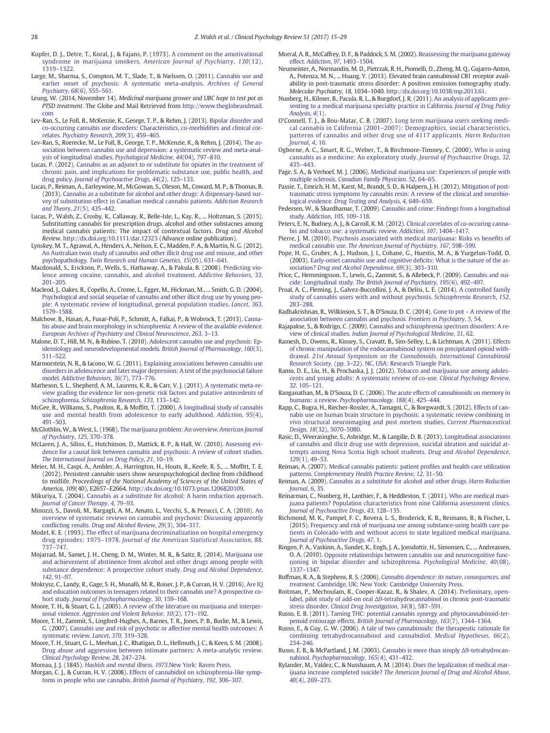<span id="page-13-0"></span>Kupfer, D. J., Detre, T., Koral, J., & Fajans, P. (1973). [A comment on the amotivational](http://refhub.elsevier.com/S0272-7358(16)30093-9/rf0545) [syndrome in marijuana smokers.](http://refhub.elsevier.com/S0272-7358(16)30093-9/rf0545) American Journal of Psychiatry, 130(12), 1319–[1322.](http://refhub.elsevier.com/S0272-7358(16)30093-9/rf0545)

Large, M., Sharma, S., Compton, M. T., Slade, T., & Nielssen, O. (2011). [Cannabis use and](http://refhub.elsevier.com/S0272-7358(16)30093-9/rf0550) [earlier onset of psychosis: A systematic meta-analysis.](http://refhub.elsevier.com/S0272-7358(16)30093-9/rf0550) Archives of General [Psychiatry](http://refhub.elsevier.com/S0272-7358(16)30093-9/rf0550), 68(6), 555–561.

Leung, W. (2014, November 14). Medicinal marijuana grower and UBC hope to test pot as PTSD treatment. The Globe and Mail Retrieved from [http://www.theglobeandmail.](http://www.theglobeandmail.com) [com](http://www.theglobeandmail.com)

Lev-Ran, S., Le Foll, B., McKenzie, K., George, T. P., & Rehm, J. (2013). [Bipolar disorder and](http://refhub.elsevier.com/S0272-7358(16)30093-9/rf0560) [co-occurring cannabis use disorders: Characteristics, co-morbidities and clinical cor](http://refhub.elsevier.com/S0272-7358(16)30093-9/rf0560)relates. [Psychiatry Research](http://refhub.elsevier.com/S0272-7358(16)30093-9/rf0560), 209(3), 459–465.

Lev-Ran, S., Roerecke, M., Le Foll, B., George, T. P., McKenzie, K., & Rehm, J. (2014). [The as](http://refhub.elsevier.com/S0272-7358(16)30093-9/rf0565)[sociation between cannabis use and depression: a systematic review and meta-anal](http://refhub.elsevier.com/S0272-7358(16)30093-9/rf0565)[ysis of longitudinal studies.](http://refhub.elsevier.com/S0272-7358(16)30093-9/rf0565) Psychological Medicine, 44(04), 797–810.

Lucas, P. (2012). [Cannabis as an adjunct to or substitute for opiates in the treatment of](http://refhub.elsevier.com/S0272-7358(16)30093-9/rf0570) [chronic pain, and implications for problematic substance use, public health, and](http://refhub.elsevier.com/S0272-7358(16)30093-9/rf0570) drug policy. [Journal of Psychoactive Drugs](http://refhub.elsevier.com/S0272-7358(16)30093-9/rf0570), 44(2), 125–133.

Lucas, P., Reiman, A., Earleywine, M., McGowan, S., Oleson, M., Coward, M. P., & Thomas, B. (2013). [Cannabis as a substitute for alcohol and other drugs: A dispensary-based sur](http://refhub.elsevier.com/S0272-7358(16)30093-9/rf0575)[vey of substitution effect in Canadian medical cannabis patients.](http://refhub.elsevier.com/S0272-7358(16)30093-9/rf0575) Addiction Research [and Theory](http://refhub.elsevier.com/S0272-7358(16)30093-9/rf0575), 21(5), 435–442.

Lucas, P., Walsh, Z., Crosby, K., Callaway, R., Belle-Isle, L., Kay, R., ... Holtzman, S. (2015). Substitutting cannabis for prescription drugs, alcohol and other substacnes among medical cannabis patients: The impact of contextual factors. Drug and Alcohol Review. http://dx.doi.org[/10.1111/dar.12323](http://dx.doi.org/10.1111/dar.12323) (Advance online publication).

Lynskey, M. T., Agrawal, A., Henders, A., Nelson, E. C., Madden, P. A., & Martin, N. G. (2012). [An Australian twin study of cannabis and other illicit drug use and misuse, and other](http://refhub.elsevier.com/S0272-7358(16)30093-9/rf0585) psychopathology. [Twin Research and Human Genetics](http://refhub.elsevier.com/S0272-7358(16)30093-9/rf0585), 15(05), 631–641.

Macdonald, S., Erickson, P., Wells, S., Hathaway, A., & Pakula, B. (2008). [Predicting vio](http://refhub.elsevier.com/S0272-7358(16)30093-9/rf0590)[lence among cocaine, cannabis, and alcohol treatment.](http://refhub.elsevier.com/S0272-7358(16)30093-9/rf0590) Addictive Behaviors, 33, 201–[205.](http://refhub.elsevier.com/S0272-7358(16)30093-9/rf0590)

Macleod, J., Oakes, R., Copello, A., Crome, L., Egger, M., Hickman, M., ... Smith, G. D. (2004). [Psychological and social sequelae of cannabis and other illicit drug use by young peo](http://refhub.elsevier.com/S0272-7358(16)30093-9/rf0595)[ple: A systematic review of longitudinal, general population studies.](http://refhub.elsevier.com/S0272-7358(16)30093-9/rf0595) Lancet, 363, 1579–[1588.](http://refhub.elsevier.com/S0272-7358(16)30093-9/rf0595)

Malchow, B., Hasan, A., Fusar-Poli, P., Schmitt, A., Falkai, P., & Wobrock, T. (2013). [Canna](http://refhub.elsevier.com/S0272-7358(16)30093-9/rf0600)[bis abuse and brain morphology in schizophrenia: A review of the available evidence.](http://refhub.elsevier.com/S0272-7358(16)30093-9/rf0600) [European Archives of Psychiatry and Clinical Neuroscience](http://refhub.elsevier.com/S0272-7358(16)30093-9/rf0600), 263, 3–13.

Malone, D. T., Hill, M. N., & Rubino, T. (2010). [Adolescent cannabis use and psychosis: Ep](http://refhub.elsevier.com/S0272-7358(16)30093-9/rf0605)[idemiology and neurodevelopmental models.](http://refhub.elsevier.com/S0272-7358(16)30093-9/rf0605) British Journal of Pharmacology, 160(3), 511–[522.](http://refhub.elsevier.com/S0272-7358(16)30093-9/rf0605)

Marmorstein, N. R., & Iacono, W. G. (2011). [Explaining associations between cannabis use](http://refhub.elsevier.com/S0272-7358(16)30093-9/rf0610) [disorders in adolescence and later major depression: A test of the psychosocial failure](http://refhub.elsevier.com/S0272-7358(16)30093-9/rf0610) model. [Addictive Behaviors](http://refhub.elsevier.com/S0272-7358(16)30093-9/rf0610), 36(7), 773–776.

Matheson, S. L., Shepherd, A. M., Laurens, K. R., & Carr, V. J. (2011). [A systematic meta-re](http://refhub.elsevier.com/S0272-7358(16)30093-9/rf0615)[view grading the evidence for non-genetic risk factors and putative antecedents of](http://refhub.elsevier.com/S0272-7358(16)30093-9/rf0615) schizophrenia. [Schizophrenia Research](http://refhub.elsevier.com/S0272-7358(16)30093-9/rf0615), 133, 133–142.

McGee, R., Williams, S., Poulton, R., & Moffitt, T. (2000). [A longitudinal study of cannabis](http://refhub.elsevier.com/S0272-7358(16)30093-9/rf0620) [use and mental health from adolescence to early adulthood.](http://refhub.elsevier.com/S0272-7358(16)30093-9/rf0620) Addiction, 95(4), 491–[503.](http://refhub.elsevier.com/S0272-7358(16)30093-9/rf0620)

McGlothlin, W., & West, L. (1968). [The marijuana problem: An overview.](http://refhub.elsevier.com/S0272-7358(16)30093-9/rf0625) American Journal [of Psychiatry](http://refhub.elsevier.com/S0272-7358(16)30093-9/rf0625), 125, 370–378.

McLaren, J. A., Silins, E., Hutchinson, D., Mattick, R. P., & Hall, W. (2010). [Assessing evi](http://refhub.elsevier.com/S0272-7358(16)30093-9/rf0630)[dence for a causal link between cannabis and psychosis: A review of cohort studies.](http://refhub.elsevier.com/S0272-7358(16)30093-9/rf0630) [The International Journal on Drug Policy](http://refhub.elsevier.com/S0272-7358(16)30093-9/rf0630), 21, 10–19.

Meier, M. H., Caspi, A., Ambler, A., Harrington, H., Houts, R., Keefe, R. S., ... Moffitt, T. E. (2012). Persistent cannabis users show neuropsychological decline from childhood to midlife. Proceedings of the National Academy of Sciences of the United States of America, 109(40), E2657–E2664. http://dx.doi.org[/10.1073/pnas.1206820109](http://dx.doi.org/10.1073/pnas.1206820109).

Mikuriya, T. (2004). [Cannabis as a substitute for alcohol: A harm reduction approach.](http://refhub.elsevier.com/S0272-7358(16)30093-9/rf0640) [Journal of Cancer Therapy](http://refhub.elsevier.com/S0272-7358(16)30093-9/rf0640), 4, 79–93.

Minozzi, S., Davoli, M., Bargagli, A. M., Amato, L., Vecchi, S., & Perucci, C. A. (2010). [An](http://refhub.elsevier.com/S0272-7358(16)30093-9/rf0645) [overview of systematic reviews on cannabis and psychosis: Discussing apparently](http://refhub.elsevier.com/S0272-7358(16)30093-9/rf0645) conflicting results. [Drug and Alcohol Review](http://refhub.elsevier.com/S0272-7358(16)30093-9/rf0645), 29(3), 304–317.

Model, K. E. (1993). [The effect of marijuana decriminalization on hospital emergency](http://refhub.elsevier.com/S0272-7358(16)30093-9/rf0650) drug episodes: 1975–1978. [Journal of the American Statistical Association](http://refhub.elsevier.com/S0272-7358(16)30093-9/rf0650), 88, 737–[747.](http://refhub.elsevier.com/S0272-7358(16)30093-9/rf0650)

Mojarrad, M., Samet, J. H., Cheng, D. M., Winter, M. R., & Saitz, R. (2014). [Marijuana use](http://refhub.elsevier.com/S0272-7358(16)30093-9/rf0655) [and achievement of abstinence from alcohol and other drugs among people with](http://refhub.elsevier.com/S0272-7358(16)30093-9/rf0655) [substance dependence: A prospective cohort study.](http://refhub.elsevier.com/S0272-7358(16)30093-9/rf0655) Drug and Alcohol Dependence, 142[, 91](http://refhub.elsevier.com/S0272-7358(16)30093-9/rf0655)–97.

Mokrysz, C., Landy, R., Gage, S. H., Munafò, M. R., Roiser, J. P., & Curran, H. V. (2016). [Are IQ](http://refhub.elsevier.com/S0272-7358(16)30093-9/rf2995) [and education outcomes in teenagers related to their cannabis use? A prospective co](http://refhub.elsevier.com/S0272-7358(16)30093-9/rf2995)hort study. [Journal of Psychopharmacology](http://refhub.elsevier.com/S0272-7358(16)30093-9/rf2995), 30, 159–168.

Moore, T. H., & Stuart, G. L. (2005). [A review of the literature on marijuana and interper-](http://refhub.elsevier.com/S0272-7358(16)30093-9/rf0660)sonal violence. [Aggression and Violent Behavior](http://refhub.elsevier.com/S0272-7358(16)30093-9/rf0660), 10(2), 171-192.

Moore, T. H., Zammit, S., Lingford-Hughes, A., Barnes, T. R., Jones, P. B., Burke, M., & Lewis, G. (2007). [Cannabis use and risk of psychotic or affective mental health outcomes: A](http://refhub.elsevier.com/S0272-7358(16)30093-9/rf0665) [systematic review.](http://refhub.elsevier.com/S0272-7358(16)30093-9/rf0665) Lancet, 370, 319–328.

Moore, T. H., Stuart, G. L., Meehan, J. C., Rhatigan, D. L., Hellmuth, J. C., & Keen, S. M. (2008). [Drug abuse and aggression between intimate partners: A meta-analytic review.](http://refhub.elsevier.com/S0272-7358(16)30093-9/rf0670) [Clinical Psychology Review](http://refhub.elsevier.com/S0272-7358(16)30093-9/rf0670), 28, 247–274.

Moreau, J. J. (1845). [Hashish and mental illness. 1973](http://refhub.elsevier.com/S0272-7358(16)30093-9/rf0675). New York: Raven Press.

Morgan, C. J., & Curran, H. V. (2008). [Effects of cannabidiol on schizophrenia-like symp](http://refhub.elsevier.com/S0272-7358(16)30093-9/rf0680)[toms in people who use cannabis.](http://refhub.elsevier.com/S0272-7358(16)30093-9/rf0680) British Journal of Psychiatry, 192, 306–307.

Morral, A. R., McCaffrey, D. F., & Paddock, S. M. (2002). [Reassessing the marijuana gateway](http://refhub.elsevier.com/S0272-7358(16)30093-9/rf0685) effect. [Addiction](http://refhub.elsevier.com/S0272-7358(16)30093-9/rf0685), 97, 1493–1504.

Neumeister, A., Normandin, M. D., Pietrzak, R. H., Piomelli, D., Zheng, M. Q., Gujarro-Anton, A., Potenza, M. N., ... Huang, Y. (2013). Elevated brain cannabinoid CB1 receptor availability in post-traumatic stress disorder: A positron emission tomography study. Molecular Psychiatry, 18, 1034–1040. http://dx.doi.org[/10.1038/mp.2013.61](http://dx.doi.org/10.1038/mp.2013.61).

Nunberg, H., Kilmer, B., Pacula, R. L., & Burgdorf, J. R. (2011). [An analysis of applicants pre](http://refhub.elsevier.com/S0272-7358(16)30093-9/rf0695)[senting to a medical marijuana specialty practice in California.](http://refhub.elsevier.com/S0272-7358(16)30093-9/rf0695) Journal of Drug Policy [Analysis](http://refhub.elsevier.com/S0272-7358(16)30093-9/rf0695), 4(1).

O'Connell, T. J., & Bou-Matar, C. B. (2007). [Long term marijuana users seeking medi](http://refhub.elsevier.com/S0272-7358(16)30093-9/rf0700)cal cannabis in California (2001–[2007\): Demographics, social characteristics,](http://refhub.elsevier.com/S0272-7358(16)30093-9/rf0700) [patterns of cannabis and other drug use of 4117 applicants.](http://refhub.elsevier.com/S0272-7358(16)30093-9/rf0700) Harm Reduction [Journal](http://refhub.elsevier.com/S0272-7358(16)30093-9/rf0700), 4, 16.

Ogborne, A. C., Smart, R. G., Weber, T., & Birchmore-Timney, C. (2000). [Who is using](http://refhub.elsevier.com/S0272-7358(16)30093-9/rf0705) [cannabis as a medicine: An exploratory study.](http://refhub.elsevier.com/S0272-7358(16)30093-9/rf0705) Journal of Psychoactive Drugs, 32, 435–[443.](http://refhub.elsevier.com/S0272-7358(16)30093-9/rf0705)

Page, S. A., & Verhoef, M. J. (2006). [Medicinal marijuana use: Experiences of people with](http://refhub.elsevier.com/S0272-7358(16)30093-9/rf0710) multiple sclerosis. [Canadian Family Physician](http://refhub.elsevier.com/S0272-7358(16)30093-9/rf0710), 52, 64–65.

Passie, T., Emrich, H. M., Karst, M., Brandt, S. D., & Halpern, J. H. (2012). [Mitigation of post](http://refhub.elsevier.com/S0272-7358(16)30093-9/rf0715)[traumatic stress symptoms by cannabis resin: A review of the clinical and neurobio](http://refhub.elsevier.com/S0272-7358(16)30093-9/rf0715)logical evidence. [Drug Testing and Analysis](http://refhub.elsevier.com/S0272-7358(16)30093-9/rf0715), 4, 649–659.

Pedersen, W., & Skardhamar, T. (2009). [Cannabis and crime: Findings from a longitudinal](http://refhub.elsevier.com/S0272-7358(16)30093-9/rf0720) study. [Addiction](http://refhub.elsevier.com/S0272-7358(16)30093-9/rf0720), 105, 109–118.

Peters, E. N., Budney, A. J., & Carroll, K. M. (2012). [Clinical correlates of co-occuring canna](http://refhub.elsevier.com/S0272-7358(16)30093-9/rf0725)[bis and tobacco use: a systematic review.](http://refhub.elsevier.com/S0272-7358(16)30093-9/rf0725) Addiction, 107, 1404–1417.

Pierre, J. M. (2010). [Psychosis associated with medical marijuana: Risks vs bene](http://refhub.elsevier.com/S0272-7358(16)30093-9/rf0730)fits of medical cannabis use. [The American Journal of Psychiatry](http://refhub.elsevier.com/S0272-7358(16)30093-9/rf0730), 167, 598–599.

Pope, H. G., Gruber, A. J., Hudson, J. I., Cohane, G., Huestis, M. A., & Yurgelun-Todd, D. (2003). [Early-onset cannabis use and cognitive de](http://refhub.elsevier.com/S0272-7358(16)30093-9/rf0735)ficits: What is the nature of the association? [Drug and Alcohol Dependence](http://refhub.elsevier.com/S0272-7358(16)30093-9/rf0735), 69(3), 303–310.

Price, C., Hemmingsson, T., Lewis, G., Zammit, S., & Allebeck, P. (2009). [Cannabis and sui](http://refhub.elsevier.com/S0272-7358(16)30093-9/rf0740)cide: Longitudinal study. [The British Journal of Psychiatry](http://refhub.elsevier.com/S0272-7358(16)30093-9/rf0740), 195(6), 492–497.

Proal, A. C., Fleming, J., Galvez-Buccollini, J. A., & Delisi, L. E. (2014). [A controlled family](http://refhub.elsevier.com/S0272-7358(16)30093-9/rf0745) [study of cannabis users with and without psychosis.](http://refhub.elsevier.com/S0272-7358(16)30093-9/rf0745) Schizophrenia Research, 152, 283–[288.](http://refhub.elsevier.com/S0272-7358(16)30093-9/rf0745)

Radhakrishnan, R., Wilkinson, S. T., & D'Souza, D. C. (2014). Gone to pot – [A review of the](http://refhub.elsevier.com/S0272-7358(16)30093-9/rf0750) [association between cannabis and psychosis.](http://refhub.elsevier.com/S0272-7358(16)30093-9/rf0750) Frontiers in Psychiatry, 5, 54.

Rajapakse, S., & Rodrigo, C. (2009). [Cannabis and schizophrenia spectrum disorders: A re](http://refhub.elsevier.com/S0272-7358(16)30093-9/rf0755)view of clinical studies. [Indian Journal of Psychological Medicine](http://refhub.elsevier.com/S0272-7358(16)30093-9/rf0755), 31, 62.

Ramesh, D., Owens, R., Kinsey, S., Cravatt, B., Sim-Selley, L., & Lichtman, A. (2011). [Effects](http://refhub.elsevier.com/S0272-7358(16)30093-9/rf0760) [of chronic manipulation of the endocannabinoid system on precipitated opioid with](http://refhub.elsevier.com/S0272-7358(16)30093-9/rf0760)drawal. [21st Annual Symposium on the Cannabinoids. International Cannabinoid](http://refhub.elsevier.com/S0272-7358(16)30093-9/rf0760) Research Society. (pp. 3–[22\). NC, USA: Research Triangle Park.](http://refhub.elsevier.com/S0272-7358(16)30093-9/rf0760)

Ramo, D. E., Liu, H., & Prochaska, J. J. (2012). [Tobacco and marijuana use among adoles](http://refhub.elsevier.com/S0272-7358(16)30093-9/rf0765)[cents and young adults: A systematic review of co-use.](http://refhub.elsevier.com/S0272-7358(16)30093-9/rf0765) Clinical Psychology Review, 32[, 105](http://refhub.elsevier.com/S0272-7358(16)30093-9/rf0765)–121.

Ranganathan, M., & D'Souza, D. C. (2006). [The acute effects of cannabinoids on memory in](http://refhub.elsevier.com/S0272-7358(16)30093-9/rf0770) humans: a review. [Psychopharmacology](http://refhub.elsevier.com/S0272-7358(16)30093-9/rf0770), 188(4), 425–444.

Rapp, C., Bugra, H., Riecher-Rossler, A., Tamagni, C., & Borgwardt, S. (2012). [Effects of can](http://refhub.elsevier.com/S0272-7358(16)30093-9/rf0775)[nabis use on human brain structure in psychosis: a systematic review combining in](http://refhub.elsevier.com/S0272-7358(16)30093-9/rf0775) [vivo structural neuroimaging and post mortem studies.](http://refhub.elsevier.com/S0272-7358(16)30093-9/rf0775) Current Pharmaceutical Design, 18[\(32\), 5070](http://refhub.elsevier.com/S0272-7358(16)30093-9/rf0775)–5080.

Rasic, D., Weerasinghe, S., Asbridge, M., & Langille, D. B. (2013). [Longitudinal associations](http://refhub.elsevier.com/S0272-7358(16)30093-9/rf0780) [of cannabis and illicit drug use with depression, suicidal ideation and suicidal at](http://refhub.elsevier.com/S0272-7358(16)30093-9/rf0780)[tempts among Nova Scotia high school students.](http://refhub.elsevier.com/S0272-7358(16)30093-9/rf0780) Drug and Alcohol Dependence, 129[\(1\), 49](http://refhub.elsevier.com/S0272-7358(16)30093-9/rf0780)–53.

Reiman, A. (2007). [Medical cannabis patients: patient pro](http://refhub.elsevier.com/S0272-7358(16)30093-9/rf0785)files and health care utilization patterns. [Complementary Health Practice Review](http://refhub.elsevier.com/S0272-7358(16)30093-9/rf0785), 12, 31–50.

Reiman, A. (2009). [Cannabis as a substitute for alcohol and other drugs.](http://refhub.elsevier.com/S0272-7358(16)30093-9/rf0790) Harm Reduction [Journal](http://refhub.elsevier.com/S0272-7358(16)30093-9/rf0790), 6, 35.

Reinarman, C., Nunberg, H., Lanthier, F., & Heddleston, T. (2011). [Who are medical mari](http://refhub.elsevier.com/S0272-7358(16)30093-9/rf0795)[juana patients? Population characteristics from nine California assessment clinics.](http://refhub.elsevier.com/S0272-7358(16)30093-9/rf0795) [Journal of Psychoactive Drugs](http://refhub.elsevier.com/S0272-7358(16)30093-9/rf0795), 43, 128–135.

Richmond, M. K., Pampel, F. C., Rovera, L. S., Broderick, K. B., Reimann, B., & Fischer, L. (2015). [Frequency and risk of marijuana use among substance-using health care pa](http://refhub.elsevier.com/S0272-7358(16)30093-9/rf0800)[tients in Colorado with and without access to state legalized medical marijuana.](http://refhub.elsevier.com/S0272-7358(16)30093-9/rf0800) [Journal of Psychoactive Drugs](http://refhub.elsevier.com/S0272-7358(16)30093-9/rf0800), 47, 1.

Ringen, P. A., Vaskinn, A., Sundet, K., Engh, J. A., Jonsdottir, H., Simonsen, C., ... Andreassen, O. A. (2010). [Opposite relationships between cannabis use and neurocognitive func](http://refhub.elsevier.com/S0272-7358(16)30093-9/rf0805)[tioning in bipolar disorder and schizophrenia.](http://refhub.elsevier.com/S0272-7358(16)30093-9/rf0805) Psychological Medicine, 40(08), 1337–[1347.](http://refhub.elsevier.com/S0272-7358(16)30093-9/rf0805)

Roffman, R. A., & Stephens, R. S. (2006). [Cannabis dependence: its nature, consequences, and](http://refhub.elsevier.com/S0272-7358(16)30093-9/rf0810) treatment. [Cambridge, UK; New York: Cambridge University Press.](http://refhub.elsevier.com/S0272-7358(16)30093-9/rf0810)

Roitman, P., Mechoulam, R., Cooper-Kazaz, R., & Shalev, A. (2014). [Preliminary, open](http://refhub.elsevier.com/S0272-7358(16)30093-9/rf0815)label, pilot study of add-on oral Δ[9-tetrahydrocannabinol in chronic post-traumatic](http://refhub.elsevier.com/S0272-7358(16)30093-9/rf0815) stress disorder. [Clinical Drug Investigation](http://refhub.elsevier.com/S0272-7358(16)30093-9/rf0815), 34(8), 587–591.

Russo, E. B. (2011). [Taming THC: potential cannabis synergy and phytocannabinoid-ter](http://refhub.elsevier.com/S0272-7358(16)30093-9/rf0820)penoid entourage effects. [British Journal of Pharmacology](http://refhub.elsevier.com/S0272-7358(16)30093-9/rf0820), 163(7), 1344–1364.

Russo, E., & Guy, G. W. (2006). [A tale of two cannabinoids: the therapeutic rationale for](http://refhub.elsevier.com/S0272-7358(16)30093-9/rf0825) [combining tetrahydrocannabinol and cannabidiol.](http://refhub.elsevier.com/S0272-7358(16)30093-9/rf0825) Medical Hypotheses, 66(2), 234–[246.](http://refhub.elsevier.com/S0272-7358(16)30093-9/rf0825)

Russo, E. B., & McPartland, J. M. (2003). [Cannabis is more than simply](http://refhub.elsevier.com/S0272-7358(16)30093-9/rf0830) Δ9-tetrahydrocannabinol. [Psychopharmacology](http://refhub.elsevier.com/S0272-7358(16)30093-9/rf0830), 165(4), 431–432.

Rylander, M., Valdez, C., & Nussbaum, A. M. (2014). [Does the legalization of medical mar](http://refhub.elsevier.com/S0272-7358(16)30093-9/rf0835)ijuana increase completed suicide? [The American Journal of Drug and Alcohol Abuse](http://refhub.elsevier.com/S0272-7358(16)30093-9/rf0835), 40[\(4\), 269](http://refhub.elsevier.com/S0272-7358(16)30093-9/rf0835)–273.